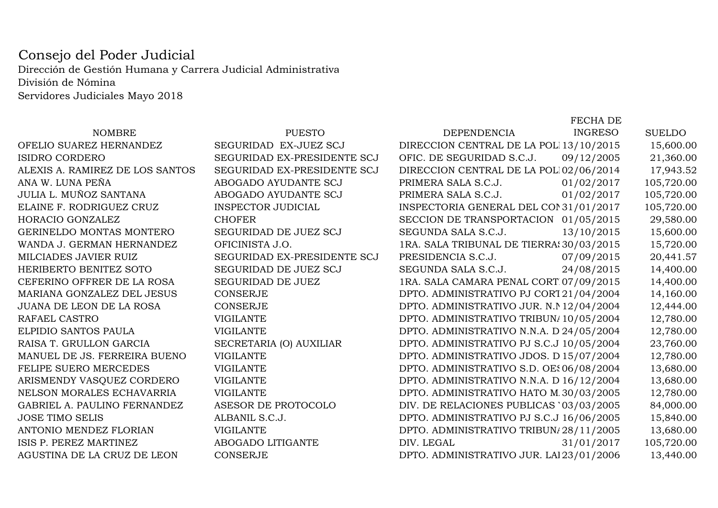## Dirección de Gestión Humana y Carrera Judicial Administrativa Consejo del Poder Judicial

Servidores Judiciales Mayo 2018División de Nómina

## OFELIO SUAREZ HERNANDEZ SEGURIDAD EX-JUEZ SCJ DIRECCION CORDERO DE SEGURIDAD EX-PRESIDENTE SCJ C ALEXIS A. RAMIREZ DE LOS SANTOS SEGURIDAD EX-PRESIDENTE SCJ DIRECTADA EN ABOGADO AYUDANTE SCJ P ANA W. LUNA PEÑA ABOGADO AYUDANTE SCJ PRIMERA SALA S.C.J. 01/02/2017 105,720.00 ELAINE F. RODRIGUEZ CRUZ INSPECTOR JUDICIAL INSPECTORIA GENERAL DEL CONSEJO DEL PODER JUDICIAL 31/01/2017 105,720.00 GERINELDO MONTAS MONTERO SEGURIDAD DE JUEZ SCJ SEGUNDA SEGURIDA SEGURIDA SEGUEZ SCJ SEGURIDA SALA SEGURIDA SALA SALA SEGURIDA SEGURIDA SEGUEZ SCJ SEGURIDA SEGUEZ SCJ SEGURIDA SEGUEZ SCJ SEGUEZ SCJ SEGUEZ SEGUEZ SEGUEZ SEGU WANDA J. GERMAN HERNANDEZ OFICINISTA J.O. 1RA. SALA TRIBUNAL DE TIERRAS J.O. DUARTE 30/03/2015 15,720.00 HERIBERTO BENITEZ SOTO SEGURIDAD DE JUEZ SCJ S<br>CEFERINO OFFRER DE LA ROSA SEGURIDAD DE JUEZ 1 CEFERINO OFFRER DE LA ROSA SEGURIDAD DE JUEZ 1<br>MARIANA GONZALEZ DEL JESUS CONSERJE MARIANA GONZALEZ DEL JESUS CONSERJE DEL JESUS DE APELACION DE LA ROSA DE CONSERJE DE LA PORTO. ADMINISTRATIVO PORTO. ADMINISTRATIVO PORTO. ADMINISTRATIVO PORTO DE LA PORTO DE LA PORTO DE LA PORTO DE LA PORTO DE LA PORTO DE JUANA DE LEON DE LA ROSA CONSERJE DPTO. ADMINISTRATIVO JUR. N.N.A. S.D. 12/04/2004 12,444.00 RAISA T. GRULLON GARCIA SECRETARIA (O) AUXILIAR DE DANUEL DE JS. FERREIRA BUENO VIGILANTE MANUEL DE JS. FERREIRA BUENO VIGILANTE DE LA 2DA. DE LA 2DA. DE LA 2DA. DE LA 2DA. DE LA 2DA. CIRC. 15/07/2004 2004 12/2004 12/2004 12/2004 12/2004 12/2004 12/2004 12/2004 12/2004 12/2004 12/2004 12/2004 12/2004 12/2004 12 FELIPE SUERO MERCEDES VIGILANTE DPTO. ADMINISTRATIVO S.D. OESTE06/08/2004 13,680.00 ARISMENDY VASQUEZ CORDERO VIGILANTE DPTO. ADMINISTRATIVO N.N.A. D.N. 16/12/2004 13,680.00 NELSON MORALES ECHAVARRIA VIGILANTE DPTO. ADMINISTRATIVO HATO MAYOR 30/03/2005 12,780.00 GABRIEL A. PAULINO FERNANDEZ ASESOR DE PROTOCOLOANTONIO MENDEZ FLORIAN VIGILANTE DPTO. ADMINISTRATIVO TRIBUNALES FAMILIA 28/11/2005 13,680.00 AGUSTINA DE LA CRUZ DE LEON CONSERJE DE LA CRUZ DE LA BORAL SE LA BORAL SE LA BORAL SE LA BORAL SE LA BORAL S

|                             |                           | FLUNA DL       |                                                                                                                                                                                                                                                                                                                                                                                                                                                                                                                                                                                                                                                                                                                                                                                                                                                                                                                                           |
|-----------------------------|---------------------------|----------------|-------------------------------------------------------------------------------------------------------------------------------------------------------------------------------------------------------------------------------------------------------------------------------------------------------------------------------------------------------------------------------------------------------------------------------------------------------------------------------------------------------------------------------------------------------------------------------------------------------------------------------------------------------------------------------------------------------------------------------------------------------------------------------------------------------------------------------------------------------------------------------------------------------------------------------------------|
| <b>PUESTO</b>               | <b>DEPENDENCIA</b>        | <b>INGRESO</b> | <b>SUELDO</b>                                                                                                                                                                                                                                                                                                                                                                                                                                                                                                                                                                                                                                                                                                                                                                                                                                                                                                                             |
| SEGURIDAD EX-JUEZ SCJ       |                           |                | 15,600.00                                                                                                                                                                                                                                                                                                                                                                                                                                                                                                                                                                                                                                                                                                                                                                                                                                                                                                                                 |
| SEGURIDAD EX-PRESIDENTE SCJ | OFIC. DE SEGURIDAD S.C.J. |                | 21,360.00                                                                                                                                                                                                                                                                                                                                                                                                                                                                                                                                                                                                                                                                                                                                                                                                                                                                                                                                 |
| SEGURIDAD EX-PRESIDENTE SCJ |                           |                | 17,943.52                                                                                                                                                                                                                                                                                                                                                                                                                                                                                                                                                                                                                                                                                                                                                                                                                                                                                                                                 |
| ABOGADO AYUDANTE SCJ        | PRIMERA SALA S.C.J.       |                | 105,720.00                                                                                                                                                                                                                                                                                                                                                                                                                                                                                                                                                                                                                                                                                                                                                                                                                                                                                                                                |
| ABOGADO AYUDANTE SCJ        | PRIMERA SALA S.C.J.       |                | 105,720.00                                                                                                                                                                                                                                                                                                                                                                                                                                                                                                                                                                                                                                                                                                                                                                                                                                                                                                                                |
| <b>INSPECTOR JUDICIAL</b>   |                           |                | 105,720.00                                                                                                                                                                                                                                                                                                                                                                                                                                                                                                                                                                                                                                                                                                                                                                                                                                                                                                                                |
| <b>CHOFER</b>               |                           |                | 29,580.00                                                                                                                                                                                                                                                                                                                                                                                                                                                                                                                                                                                                                                                                                                                                                                                                                                                                                                                                 |
| SEGURIDAD DE JUEZ SCJ       | SEGUNDA SALA S.C.J.       |                | 15,600.00                                                                                                                                                                                                                                                                                                                                                                                                                                                                                                                                                                                                                                                                                                                                                                                                                                                                                                                                 |
| OFICINISTA J.O.             |                           |                | 15,720.00                                                                                                                                                                                                                                                                                                                                                                                                                                                                                                                                                                                                                                                                                                                                                                                                                                                                                                                                 |
| SEGURIDAD EX-PRESIDENTE SCJ | PRESIDENCIA S.C.J.        |                | 20,441.57                                                                                                                                                                                                                                                                                                                                                                                                                                                                                                                                                                                                                                                                                                                                                                                                                                                                                                                                 |
| SEGURIDAD DE JUEZ SCJ       | SEGUNDA SALA S.C.J.       |                | 14,400.00                                                                                                                                                                                                                                                                                                                                                                                                                                                                                                                                                                                                                                                                                                                                                                                                                                                                                                                                 |
| SEGURIDAD DE JUEZ           |                           |                | 14,400.00                                                                                                                                                                                                                                                                                                                                                                                                                                                                                                                                                                                                                                                                                                                                                                                                                                                                                                                                 |
| <b>CONSERJE</b>             |                           |                | 14,160.00                                                                                                                                                                                                                                                                                                                                                                                                                                                                                                                                                                                                                                                                                                                                                                                                                                                                                                                                 |
| <b>CONSERJE</b>             |                           |                | 12,444.00                                                                                                                                                                                                                                                                                                                                                                                                                                                                                                                                                                                                                                                                                                                                                                                                                                                                                                                                 |
| <b>VIGILANTE</b>            |                           |                | 12,780.00                                                                                                                                                                                                                                                                                                                                                                                                                                                                                                                                                                                                                                                                                                                                                                                                                                                                                                                                 |
| <b>VIGILANTE</b>            |                           |                | 12,780.00                                                                                                                                                                                                                                                                                                                                                                                                                                                                                                                                                                                                                                                                                                                                                                                                                                                                                                                                 |
| SECRETARIA (O) AUXILIAR     |                           |                | 23,760.00                                                                                                                                                                                                                                                                                                                                                                                                                                                                                                                                                                                                                                                                                                                                                                                                                                                                                                                                 |
| <b>VIGILANTE</b>            |                           |                | 12,780.00                                                                                                                                                                                                                                                                                                                                                                                                                                                                                                                                                                                                                                                                                                                                                                                                                                                                                                                                 |
| <b>VIGILANTE</b>            |                           |                | 13,680.00                                                                                                                                                                                                                                                                                                                                                                                                                                                                                                                                                                                                                                                                                                                                                                                                                                                                                                                                 |
| <b>VIGILANTE</b>            |                           |                | 13,680.00                                                                                                                                                                                                                                                                                                                                                                                                                                                                                                                                                                                                                                                                                                                                                                                                                                                                                                                                 |
| <b>VIGILANTE</b>            |                           |                | 12,780.00                                                                                                                                                                                                                                                                                                                                                                                                                                                                                                                                                                                                                                                                                                                                                                                                                                                                                                                                 |
| ASESOR DE PROTOCOLO         |                           |                | 84,000.00                                                                                                                                                                                                                                                                                                                                                                                                                                                                                                                                                                                                                                                                                                                                                                                                                                                                                                                                 |
| ALBANIL S.C.J.              |                           |                | 15,840.00                                                                                                                                                                                                                                                                                                                                                                                                                                                                                                                                                                                                                                                                                                                                                                                                                                                                                                                                 |
| <b>VIGILANTE</b>            |                           |                | 13,680.00                                                                                                                                                                                                                                                                                                                                                                                                                                                                                                                                                                                                                                                                                                                                                                                                                                                                                                                                 |
| ABOGADO LITIGANTE           | DIV. LEGAL                |                | 105,720.00                                                                                                                                                                                                                                                                                                                                                                                                                                                                                                                                                                                                                                                                                                                                                                                                                                                                                                                                |
| <b>CONSERJE</b>             |                           |                | 13,440.00                                                                                                                                                                                                                                                                                                                                                                                                                                                                                                                                                                                                                                                                                                                                                                                                                                                                                                                                 |
|                             |                           |                | DIRECCION CENTRAL DE LA POL113/10/2015<br>09/12/2005<br>DIRECCION CENTRAL DE LA POL102/06/2014<br>01/02/2017<br>01/02/2017<br>INSPECTORIA GENERAL DEL CON 31/01/2017<br>SECCION DE TRANSPORTACION 01/05/2015<br>13/10/2015<br>1RA. SALA TRIBUNAL DE TIERRA: 30/03/2015<br>07/09/2015<br>24/08/2015<br>1RA. SALA CAMARA PENAL CORT 07/09/2015<br>DPTO. ADMINISTRATIVO PJ CORT21/04/2004<br>DPTO. ADMINISTRATIVO JUR. N. N12/04/2004<br>DPTO. ADMINISTRATIVO TRIBUN/10/05/2004<br>DPTO. ADMINISTRATIVO N.N.A. D 24/05/2004<br>DPTO. ADMINISTRATIVO PJ S.C.J 10/05/2004<br>DPTO. ADMINISTRATIVO JDOS. D15/07/2004<br>DPTO. ADMINISTRATIVO S.D. OES06/08/2004<br>DPTO. ADMINISTRATIVO N.N.A. D 16/12/2004<br>DPTO. ADMINISTRATIVO HATO M.30/03/2005<br>DIV. DE RELACIONES PUBLICAS '03/03/2005<br>DPTO. ADMINISTRATIVO PJ S.C.J 16/06/2005<br>DPTO. ADMINISTRATIVO TRIBUN/28/11/2005<br>31/01/2017<br>DPTO. ADMINISTRATIVO JUR. LAI23/01/2006 |

FECHA DE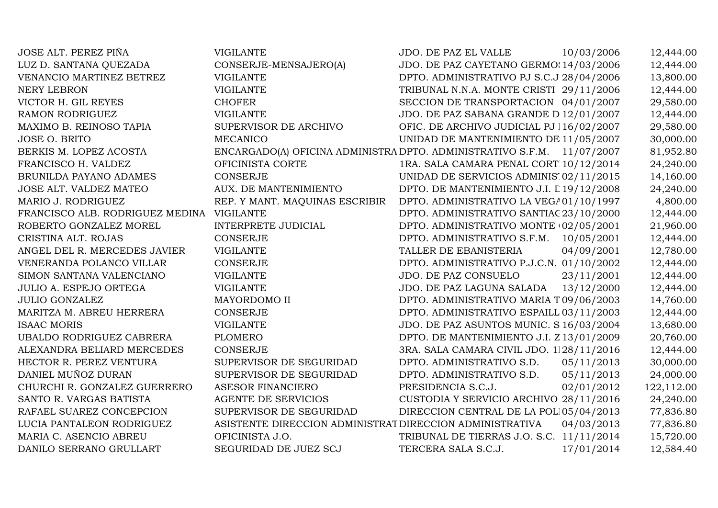JOSE ALT. PEREZ PIÑA VIGILANTE JDO. DE PAZ EL VALLE 10/03/2006 12,444.00 LUZ D. SANTANA QUEZADA CONSERJE-MENSAJERO(A) JDO. DE PAZ CAYETANO GERMOSEN 14/03/2006 12,444.00 VENANCIO MARTINEZ BETREZ VIGILANTE DPTO. ADMINISTRATIVO PJ S.C.J 28/04/2006 13,800.00<br>VIGILANTE TRIBUNAL N.N.A. MONTE CRISTI 29/11/2006 12.444.00 NERY LEBRON VIGILANTE TRIBUNAL N.N.A. MONTE CRISTI 29/11/2006 12,444.00 VICTOR H. GIL REYES CHOFER CHOFER SECCION DE TRANSPORTACION 04/01/2007 29,580.00<br>RAMON RODRIGUEZ VIGILANTE VIGLANTE JDO. DE PAZ SABANA GRANDE D $12/01/2007$  12,444.00 VIGILANTE JDO. DE PAZ SABANA GRANDE D $12/01/2007$   $12,444.00$ <br>SUPERVISOR DE ARCHIVO OFIC. DE ARCHIVO JUDICIAL PJ 116/02/2007 29.580.00 MAXIMO B. REINOSO TAPIA SUPERVISO OFIC. DE ARCHIVO JUDICIAL PJ 116/02/2007 29,580.00<br>UNIDAD DE MANTENIMIENTO DE 11/05/2007 30.000.00 JOSE O. BRITO UNIDAD DE MANTENIMIENTO DE 11/05/2007 30,000.00<br>DPTO. ADMINISTRATIVO S.F.M. 11/07/2007 81,952.80 BERKIS M. LOPEZ ACOSTA ENCARGADO(A) OFICINA ADMINISTRATIVA IV DPTO. ADMINISTRATIVO S.F.M. 11/07/2007 81,952.80 FRANCISCO H. VALDEZ OFICINISTA CORTE 1RA. SALA CAMARA PENAL CORTE APEL. D.N. 10/12/2014 24,240.00 BRUNILDA PAYANO ADAMES CONSERJE UNIDAD DE SERVICIOS ADMINISTRATIVOS Y LOGISTICOS J 02/11/2015 14,160.00 JOSE ALT. VALDEZ MATEO AUX. DE MANTENIMIENTODPTO. DE MANTENIMIENTO J.I. L 19/12/2008 24,240.00<br>DPTO. ADMINISTRATIVO LA VEGA01/10/1997 4.800.00 DPTO. ADMINISTRATIVO LA VEGA01/10/1997 4,800.00<br>DPTO. ADMINISTRATIVO SANTIAC 23/10/2000 12,444.00 FRANCISCO ALB. RODRIGUEZ MEDINA VIGILANTE DPTO. ADMINISTRATIVO SANTIAGO23/10/2000 12,444.00 ROBERTO GONZALEZ MOREL INTERPRETE JUDICIAL DPTO. ADMINISTRATIVO MONTE CRISTI 02/05/2001 21,960.00 CRISTINA ALT. ROJAS CONSERJE DPTO. ADMINISTRATIVO S.F.M. 10/05/2001 12,444.00 ANGEL DEL R. MERCEDES JAVIER VIGILANTE TALLER DE EBANISTERIA 04/09/2001 12,780.00 VENERANDA POLANCO VILLAR CONSERJE DPTO. ADMINISTRATIVO P.J.C.N. 01/10/2002 12,444.00 SIMON SANTANA VALENCIANO VIGILANTE JDO. DE PAZ CONSUELO 23/11/2001 12,444.00 JULIO A. ESPEJO ORTEGA VIGILANTE JDO. DE PAZ LAGUNA SALADA 13/12/2000 12,444.00 JULIO GONZALEZ MAYORDOMO II DPTO. ADMINISTRATIVO MARIA TRINIDAD SANCHEZ 09/06/2003 14,760.00 MARITZA M. ABREU HERRERA CONSERJE DPTO. ADMINISTRATIVO ESPAILLAT03/11/2003 12,444.00 VIGILANTE JDO. DE PAZ ASUNTOS MUNIC. S 16/03/2004 13,680.00<br>DPTO. DE MANTENIMIENTO J.I. Z 13/01/2009 20.760.00 UBALDO RODRIGUEZ CABRERA PLOMERO<br>ALEXANDRA BELIARD MERCEDES CONSERJE DPTO. DE MANTENIMIENTO J.I. Z 13/01/2009 20,760.00<br>3RA. SALA CAMARA CIVIL JDO. 1128/11/2016 12,444.00 ALEXANDRA BELIARD MERCEDES CONSERJE 3RA. SALA CAMARA CIVIL JDO. 1RA. INST. S.D. 28/11/2016 12,444.00 HECTOR R. PEREZ VENTURA SUPERVISOR DE SEGURIDAD DPTO. ADMINISTRATIVO S.D. 05/11/2013 30,000.00<br>DANIEL MUÑOZ DURAN SUPERVISOR DE SEGURIDAD DPTO. ADMINISTRATIVO S.D. 05/11/2013 24.000.00 SUPERVISOR DE SEGURIDAD DPTO. ADMINISTRATIVO S.D. 05/11/2013 24,000.00<br>ASESOR FINANCIERO PRESIDENCIA S.C.J. 02/01/2012 122,112.00 CHURCHI R. GONZALEZ GUERRERO ASESOR FINANCIERO PRESIDENCIA S.C.J. 02/01/2012 122,112.00 SANTO R. VARGAS BATISTA AGENTE DE SERVICIOS CUSTODIA Y SERVICIO ARCHIVO PERMANENTE 28/11/2016 24,240.00 SUPERVISOR DE SEGURIDAD DIRECCION CENTRAL DE LA POLI05/04/2013 77,836.80<br>DIRECCION ADMINISTRATIVA 04/03/2013 77,836.80 LUCIA PANTALEON RODRIGUEZZ ASISTENTE DIRECCION ADMINISTRAT DIRECCION ADMINISTRATIVA 04/03/2013 77,836.80 MARIA C. ASENCIO ABREU OFICINISTA J.O. TRIBUNAL DE TIERRAS J.O. S.C. 11/11/2014 15,720.00 DANILO SERRANO GRULLART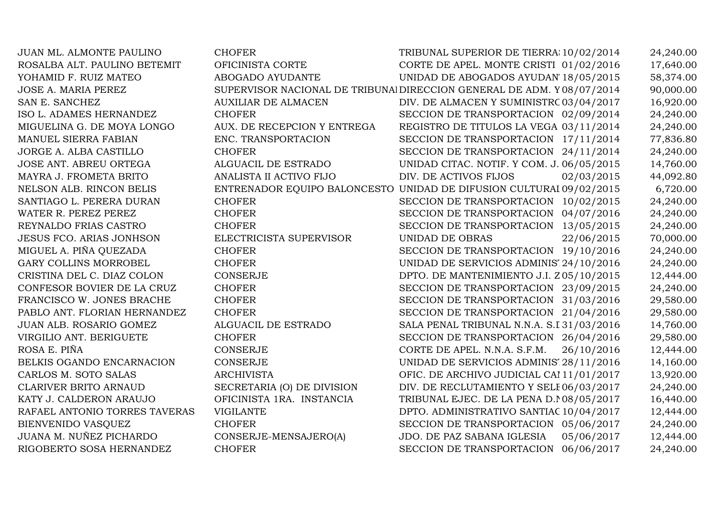| JUAN ML. ALMONTE PAULINO        | <b>CHOFER</b>               | TRIBUNAL SUPERIOR DE TIERRA; 10/02/2014                                | 24,240.00 |
|---------------------------------|-----------------------------|------------------------------------------------------------------------|-----------|
| ROSALBA ALT. PAULINO BETEMIT    | OFICINISTA CORTE            | CORTE DE APEL. MONTE CRISTI 01/02/2016                                 | 17,640.00 |
| YOHAMID F. RUIZ MATEO           | ABOGADO AYUDANTE            | UNIDAD DE ABOGADOS AYUDAN' 18/05/2015                                  | 58,374.00 |
| <b>JOSE A. MARIA PEREZ</b>      |                             | SUPERVISOR NACIONAL DE TRIBUNAI DIRECCION GENERAL DE ADM. Y 08/07/2014 | 90,000.00 |
| SAN E. SANCHEZ                  | <b>AUXILIAR DE ALMACEN</b>  | DIV. DE ALMACEN Y SUMINISTRC 03/04/2017                                | 16,920.00 |
| ISO L. ADAMES HERNANDEZ         | <b>CHOFER</b>               | SECCION DE TRANSPORTACION 02/09/2014                                   | 24,240.00 |
| MIGUELINA G. DE MOYA LONGO      | AUX. DE RECEPCION Y ENTREGA | REGISTRO DE TITULOS LA VEGA 03/11/2014                                 | 24,240.00 |
| MANUEL SIERRA FABIAN            | ENC. TRANSPORTACION         | SECCION DE TRANSPORTACION 17/11/2014                                   | 77,836.80 |
| JORGE A. ALBA CASTILLO          | <b>CHOFER</b>               | SECCION DE TRANSPORTACION 24/11/2014                                   | 24,240.00 |
| JOSE ANT. ABREU ORTEGA          | ALGUACIL DE ESTRADO         | UNIDAD CITAC. NOTIF. Y COM. J. 06/05/2015                              | 14,760.00 |
| MAYRA J. FROMETA BRITO          | ANALISTA II ACTIVO FIJO     | DIV. DE ACTIVOS FIJOS<br>02/03/2015                                    | 44,092.80 |
| NELSON ALB. RINCON BELIS        |                             | ENTRENADOR EQUIPO BALONCESTO UNIDAD DE DIFUSION CULTURAI 09/02/2015    | 6,720.00  |
| SANTIAGO L. PERERA DURAN        | <b>CHOFER</b>               | SECCION DE TRANSPORTACION 10/02/2015                                   | 24,240.00 |
| WATER R. PEREZ PEREZ            | <b>CHOFER</b>               | SECCION DE TRANSPORTACION<br>04/07/2016                                | 24,240.00 |
| REYNALDO FRIAS CASTRO           | <b>CHOFER</b>               | SECCION DE TRANSPORTACION 13/05/2015                                   | 24,240.00 |
| <b>JESUS FCO. ARIAS JONHSON</b> | ELECTRICISTA SUPERVISOR     | <b>UNIDAD DE OBRAS</b><br>22/06/2015                                   | 70,000.00 |
| MIGUEL A. PIÑA QUEZADA          | <b>CHOFER</b>               | SECCION DE TRANSPORTACION 19/10/2016                                   | 24,240.00 |
| GARY COLLINS MORROBEL           | <b>CHOFER</b>               | UNIDAD DE SERVICIOS ADMINIS 24/10/2016                                 | 24,240.00 |
| CRISTINA DEL C. DIAZ COLON      | CONSERJE                    | DPTO. DE MANTENIMIENTO J.I. Z05/10/2015                                | 12,444.00 |
| CONFESOR BOVIER DE LA CRUZ      | <b>CHOFER</b>               | SECCION DE TRANSPORTACION 23/09/2015                                   | 24,240.00 |
| FRANCISCO W. JONES BRACHE       | <b>CHOFER</b>               | SECCION DE TRANSPORTACION 31/03/2016                                   | 29,580.00 |
| PABLO ANT. FLORIAN HERNANDEZ    | <b>CHOFER</b>               | SECCION DE TRANSPORTACION 21/04/2016                                   | 29,580.00 |
| JUAN ALB. ROSARIO GOMEZ         | ALGUACIL DE ESTRADO         | SALA PENAL TRIBUNAL N.N.A. S.I 31/03/2016                              | 14,760.00 |
| VIRGILIO ANT. BERIGUETE         | <b>CHOFER</b>               | SECCION DE TRANSPORTACION 26/04/2016                                   | 29,580.00 |
| ROSA E. PIÑA                    | CONSERJE                    | CORTE DE APEL. N.N.A. S.F.M.<br>26/10/2016                             | 12,444.00 |
| BELKIS OGANDO ENCARNACION       | <b>CONSERJE</b>             | UNIDAD DE SERVICIOS ADMINIS' 28/11/2016                                | 14,160.00 |
| CARLOS M. SOTO SALAS            | <b>ARCHIVISTA</b>           | OFIC. DE ARCHIVO JUDICIAL CAI 11/01/2017                               | 13,920.00 |
| CLARIVER BRITO ARNAUD           | SECRETARIA (O) DE DIVISION  | DIV. DE RECLUTAMIENTO Y SELE06/03/2017                                 | 24,240.00 |
| KATY J. CALDERON ARAUJO         | OFICINISTA 1RA. INSTANCIA   | TRIBUNAL EJEC. DE LA PENA D. 108/05/2017                               | 16,440.00 |
| RAFAEL ANTONIO TORRES TAVERAS   | <b>VIGILANTE</b>            | DPTO. ADMINISTRATIVO SANTIAC 10/04/2017                                | 12,444.00 |
| BIENVENIDO VASQUEZ              | <b>CHOFER</b>               | SECCION DE TRANSPORTACION 05/06/2017                                   | 24,240.00 |
| JUANA M. NUÑEZ PICHARDO         | CONSERJE-MENSAJERO(A)       | JDO. DE PAZ SABANA IGLESIA<br>05/06/2017                               | 12,444.00 |
| RIGOBERTO SOSA HERNANDEZ        | <b>CHOFER</b>               | 06/06/2017<br>SECCION DE TRANSPORTACION                                | 24,240.00 |
|                                 |                             |                                                                        |           |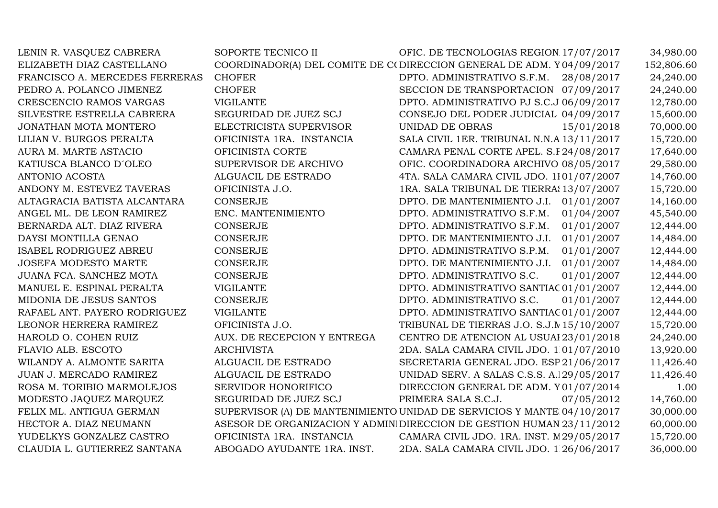| LENIN R. VASQUEZ CABRERA       | SOPORTE TECNICO II                                                     | OFIC. DE TECNOLOGIAS REGION 17/07/2017    |            | 34,980.00  |
|--------------------------------|------------------------------------------------------------------------|-------------------------------------------|------------|------------|
| ELIZABETH DIAZ CASTELLANO      | COORDINADOR(A) DEL COMITE DE C(DIRECCION GENERAL DE ADM. Y04/09/2017   |                                           |            | 152,806.60 |
| FRANCISCO A. MERCEDES FERRERAS | <b>CHOFER</b>                                                          | DPTO. ADMINISTRATIVO S.F.M.               | 28/08/2017 | 24,240.00  |
| PEDRO A. POLANCO JIMENEZ       | <b>CHOFER</b>                                                          | SECCION DE TRANSPORTACION 07/09/2017      |            | 24,240.00  |
| CRESCENCIO RAMOS VARGAS        | <b>VIGILANTE</b>                                                       | DPTO. ADMINISTRATIVO PJ S.C.J 06/09/2017  |            | 12,780.00  |
| SILVESTRE ESTRELLA CABRERA     | SEGURIDAD DE JUEZ SCJ                                                  | CONSEJO DEL PODER JUDICIAL 04/09/2017     |            | 15,600.00  |
| JONATHAN MOTA MONTERO          | ELECTRICISTA SUPERVISOR                                                | <b>UNIDAD DE OBRAS</b>                    | 15/01/2018 | 70,000.00  |
| LILIAN V. BURGOS PERALTA       | OFICINISTA 1RA. INSTANCIA                                              | SALA CIVIL 1ER. TRIBUNAL N.N.A 13/11/2017 |            | 15,720.00  |
| AURA M. MARTE ASTACIO          | OFICINISTA CORTE                                                       | CAMARA PENAL CORTE APEL. S.F 24/08/2017   |            | 17,640.00  |
| KATIUSCA BLANCO D'OLEO         | SUPERVISOR DE ARCHIVO                                                  | OFIC. COORDINADORA ARCHIVO 08/05/2017     |            | 29,580.00  |
| ANTONIO ACOSTA                 | ALGUACIL DE ESTRADO                                                    | 4TA. SALA CAMARA CIVIL JDO. 1101/07/2007  |            | 14,760.00  |
| ANDONY M. ESTEVEZ TAVERAS      | OFICINISTA J.O.                                                        | 1RA. SALA TRIBUNAL DE TIERRAS 13/07/2007  |            | 15,720.00  |
| ALTAGRACIA BATISTA ALCANTARA   | <b>CONSERJE</b>                                                        | DPTO. DE MANTENIMIENTO J.I.               | 01/01/2007 | 14,160.00  |
| ANGEL ML. DE LEON RAMIREZ      | ENC. MANTENIMIENTO                                                     | DPTO. ADMINISTRATIVO S.F.M.               | 01/04/2007 | 45,540.00  |
| BERNARDA ALT. DIAZ RIVERA      | <b>CONSERJE</b>                                                        | DPTO. ADMINISTRATIVO S.F.M.               | 01/01/2007 | 12,444.00  |
| DAYSI MONTILLA GENAO           | <b>CONSERJE</b>                                                        | DPTO. DE MANTENIMIENTO J.I.               | 01/01/2007 | 14,484.00  |
| <b>ISABEL RODRIGUEZ ABREU</b>  | <b>CONSERJE</b>                                                        | DPTO. ADMINISTRATIVO S.P.M.               | 01/01/2007 | 12,444.00  |
| <b>JOSEFA MODESTO MARTE</b>    | <b>CONSERJE</b>                                                        | DPTO. DE MANTENIMIENTO J.I.               | 01/01/2007 | 14,484.00  |
| JUANA FCA. SANCHEZ MOTA        | <b>CONSERJE</b>                                                        | DPTO. ADMINISTRATIVO S.C.                 | 01/01/2007 | 12,444.00  |
| MANUEL E. ESPINAL PERALTA      | <b>VIGILANTE</b>                                                       | DPTO. ADMINISTRATIVO SANTIAC 01/01/2007   |            | 12,444.00  |
| MIDONIA DE JESUS SANTOS        | <b>CONSERJE</b>                                                        | DPTO. ADMINISTRATIVO S.C.                 | 01/01/2007 | 12,444.00  |
| RAFAEL ANT. PAYERO RODRIGUEZ   | <b>VIGILANTE</b>                                                       | DPTO. ADMINISTRATIVO SANTIAC 01/01/2007   |            | 12,444.00  |
| LEONOR HERRERA RAMIREZ         | OFICINISTA J.O.                                                        | TRIBUNAL DE TIERRAS J.O. S.J.M 15/10/2007 |            | 15,720.00  |
| HAROLD O. COHEN RUIZ           | AUX. DE RECEPCION Y ENTREGA                                            | CENTRO DE ATENCION AL USUAI 23/01/2018    |            | 24,240.00  |
| FLAVIO ALB. ESCOTO             | <b>ARCHIVISTA</b>                                                      | 2DA. SALA CAMARA CIVIL JDO. 1 01/07/2010  |            | 13,920.00  |
| WILANDY A. ALMONTE SARITA      | ALGUACIL DE ESTRADO                                                    | SECRETARIA GENERAL JDO. ESP 21/06/2017    |            | 11,426.40  |
| JUAN J. MERCADO RAMIREZ        | ALGUACIL DE ESTRADO                                                    | UNIDAD SERV. A SALAS C.S.S. A.129/05/2017 |            | 11,426.40  |
| ROSA M. TORIBIO MARMOLEJOS     | <b>SERVIDOR HONORIFICO</b>                                             | DIRECCION GENERAL DE ADM. Y01/07/2014     |            | 1.00       |
| MODESTO JAQUEZ MARQUEZ         | SEGURIDAD DE JUEZ SCJ                                                  | PRIMERA SALA S.C.J.                       | 07/05/2012 | 14,760.00  |
| FELIX ML. ANTIGUA GERMAN       | SUPERVISOR (A) DE MANTENIMIENTO UNIDAD DE SERVICIOS Y MANTE 04/10/2017 |                                           |            | 30,000.00  |
| HECTOR A. DIAZ NEUMANN         | ASESOR DE ORGANIZACION Y ADMINI DIRECCION DE GESTION HUMAN 23/11/2012  |                                           |            | 60,000.00  |
| YUDELKYS GONZALEZ CASTRO       | OFICINISTA 1RA. INSTANCIA                                              | CAMARA CIVIL JDO. 1RA. INST. M29/05/2017  |            | 15,720.00  |
| CLAUDIA L. GUTIERREZ SANTANA   | ABOGADO AYUDANTE 1RA. INST.                                            | 2DA. SALA CAMARA CIVIL JDO. 1 26/06/2017  |            | 36,000.00  |
|                                |                                                                        |                                           |            |            |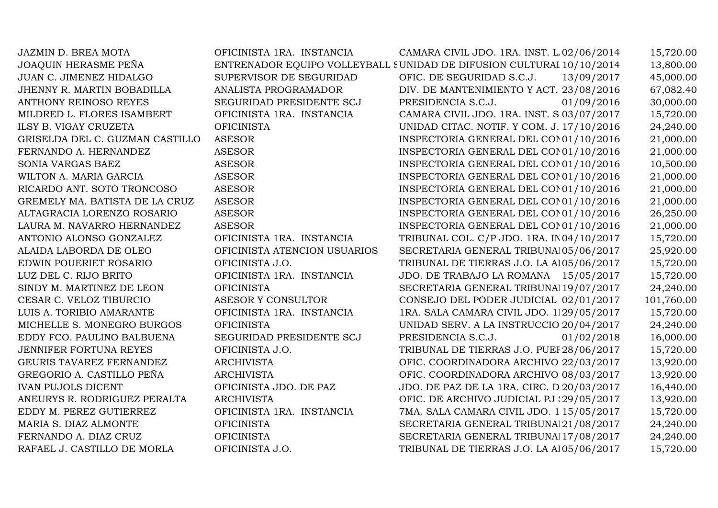| JAZMIN D. BREA MOTA             | OFICINISTA 1RA. INSTANCIA    | CAMARA CIVIL JDO. 1RA. INST. L 02/06/2014                            | 15,720.00  |
|---------------------------------|------------------------------|----------------------------------------------------------------------|------------|
| <b>JOAQUIN HERASME PEÑA</b>     |                              | ENTRENADOR EQUIPO VOLLEYBALL SUNIDAD DE DIFUSION CULTURAI 10/10/2014 | 13,800.00  |
| JUAN C. JIMENEZ HIDALGO         | SUPERVISOR DE SEGURIDAD      | OFIC. DE SEGURIDAD S.C.J.<br>13/09/2017                              | 45,000.00  |
| JHENNY R. MARTIN BOBADILLA      | ANALISTA PROGRAMADOR         | DIV. DE MANTENIMIENTO Y ACT. 23/08/2016                              | 67,082.40  |
| <b>ANTHONY REINOSO REYES</b>    | SEGURIDAD PRESIDENTE SCJ     | PRESIDENCIA S.C.J.<br>01/09/2016                                     | 30,000.00  |
| MILDRED L. FLORES ISAMBERT      | OFICINISTA 1RA. INSTANCIA    | CAMARA CIVIL JDO. 1RA. INST. S 03/07/2017                            | 15,720.00  |
| ILSY B. VIGAY CRUZETA           | <b>OFICINISTA</b>            | UNIDAD CITAC. NOTIF. Y COM. J. 17/10/2016                            | 24,240.00  |
| GRISELDA DEL C. GUZMAN CASTILLO | <b>ASESOR</b>                | INSPECTORIA GENERAL DEL CON01/10/2016                                | 21,000.00  |
| FERNANDO A. HERNANDEZ           | <b>ASESOR</b>                | INSPECTORIA GENERAL DEL CON01/10/2016                                | 21,000.00  |
| SONIA VARGAS BAEZ               | <b>ASESOR</b>                | INSPECTORIA GENERAL DEL CON01/10/2016                                | 10,500.00  |
| WILTON A. MARIA GARCIA          | <b>ASESOR</b>                | INSPECTORIA GENERAL DEL CON01/10/2016                                | 21,000.00  |
| RICARDO ANT. SOTO TRONCOSO      | <b>ASESOR</b>                | INSPECTORIA GENERAL DEL CON01/10/2016                                | 21,000.00  |
| GREMELY MA. BATISTA DE LA CRUZ  | <b>ASESOR</b>                | INSPECTORIA GENERAL DEL CON01/10/2016                                | 21,000.00  |
| ALTAGRACIA LORENZO ROSARIO      | <b>ASESOR</b>                | INSPECTORIA GENERAL DEL CON01/10/2016                                | 26,250.00  |
| LAURA M. NAVARRO HERNANDEZ      | <b>ASESOR</b>                | INSPECTORIA GENERAL DEL CON01/10/2016                                | 21,000.00  |
| ANTONIO ALONSO GONZALEZ         | OFICINISTA 1RA. INSTANCIA    | TRIBUNAL COL. C/P JDO. 1RA. IN04/10/2017                             | 15,720.00  |
| ALAIDA LABORDA DE OLEO          | OFICINISTA ATENCION USUARIOS | SECRETARIA GENERAL TRIBUNAI05/06/2017                                | 25,920.00  |
| EDWIN POUERIET ROSARIO          | OFICINISTA J.O.              | TRIBUNAL DE TIERRAS J.O. LA A105/06/2017                             | 15,720.00  |
| LUZ DEL C. RIJO BRITO           | OFICINISTA 1RA. INSTANCIA    | JDO. DE TRABAJO LA ROMANA 15/05/2017                                 | 15,720.00  |
| SINDY M. MARTINEZ DE LEON       | <b>OFICINISTA</b>            | SECRETARIA GENERAL TRIBUNAl 19/07/2017                               | 24,240.00  |
| CESAR C. VELOZ TIBURCIO         | ASESOR Y CONSULTOR           | CONSEJO DEL PODER JUDICIAL 02/01/2017                                | 101,760.00 |
| LUIS A. TORIBIO AMARANTE        | OFICINISTA 1RA. INSTANCIA    | 1RA. SALA CAMARA CIVIL JDO. 1129/05/2017                             | 15,720.00  |
| MICHELLE S. MONEGRO BURGOS      | <b>OFICINISTA</b>            | UNIDAD SERV. A LA INSTRUCCIO 20/04/2017                              | 24,240.00  |
| EDDY FCO. PAULINO BALBUENA      | SEGURIDAD PRESIDENTE SCJ     | PRESIDENCIA S.C.J.<br>01/02/2018                                     | 16,000.00  |
| <b>JENNIFER FORTUNA REYES</b>   | OFICINISTA J.O.              | TRIBUNAL DE TIERRAS J.O. PUEI 28/06/2017                             | 15,720.00  |
| GEURIS TAVAREZ FERNANDEZ        | <b>ARCHIVISTA</b>            | OFIC. COORDINADORA ARCHIVO 22/03/2017                                | 13,920.00  |
| GREGORIO A. CASTILLO PEÑA       | <b>ARCHIVISTA</b>            | OFIC. COORDINADORA ARCHIVO 08/03/2017                                | 13,920.00  |
| <b>IVAN PUJOLS DICENT</b>       | OFICINISTA JDO. DE PAZ       | JDO. DE PAZ DE LA 1RA. CIRC. D 20/03/2017                            | 16,440.00  |
| ANEURYS R. RODRIGUEZ PERALTA    | <b>ARCHIVISTA</b>            | OFIC. DE ARCHIVO JUDICIAL PJ:29/05/2017                              | 13,920.00  |
| EDDY M. PEREZ GUTIERREZ         | OFICINISTA 1RA. INSTANCIA    | 7MA. SALA CAMARA CIVIL JDO. 1 15/05/2017                             | 15,720.00  |
| MARIA S. DIAZ ALMONTE           | <b>OFICINISTA</b>            | SECRETARIA GENERAL TRIBUNAl21/08/2017                                | 24,240.00  |
| FERNANDO A. DIAZ CRUZ           | <b>OFICINISTA</b>            | SECRETARIA GENERAL TRIBUNAl 17/08/2017                               | 24,240.00  |
| RAFAEL J. CASTILLO DE MORLA     | OFICINISTA J.O.              | TRIBUNAL DE TIERRAS J.O. LA A105/06/2017                             | 15,720.00  |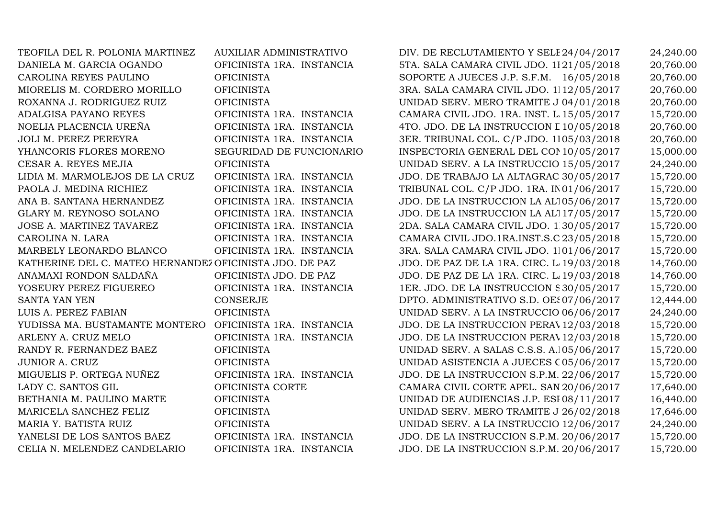| TEOFILA DEL R. POLONIA MARTINEZ                         | AUXILIAR ADMINISTRATIVO   | DIV. DE RECLUTAMIENTO Y SELE 24/04/2017   | 24,240.00 |
|---------------------------------------------------------|---------------------------|-------------------------------------------|-----------|
| DANIELA M. GARCIA OGANDO                                | OFICINISTA 1RA. INSTANCIA | 5TA. SALA CAMARA CIVIL JDO. 1121/05/2018  | 20,760.00 |
| CAROLINA REYES PAULINO                                  | <b>OFICINISTA</b>         | SOPORTE A JUECES J.P. S.F.M. 16/05/2018   | 20,760.00 |
| MIORELIS M. CORDERO MORILLO                             | <b>OFICINISTA</b>         | 3RA. SALA CAMARA CIVIL JDO. 1112/05/2017  | 20,760.00 |
| ROXANNA J. RODRIGUEZ RUIZ                               | <b>OFICINISTA</b>         | UNIDAD SERV. MERO TRAMITE J 04/01/2018    | 20,760.00 |
| ADALGISA PAYANO REYES                                   | OFICINISTA 1RA. INSTANCIA | CAMARA CIVIL JDO. 1RA. INST. L 15/05/2017 | 15,720.00 |
| NOELIA PLACENCIA UREÑA                                  | OFICINISTA 1RA. INSTANCIA | 4TO. JDO. DE LA INSTRUCCION L 10/05/2018  | 20,760.00 |
| JOLI M. PEREZ PEREYRA                                   | OFICINISTA 1RA. INSTANCIA | 3ER. TRIBUNAL COL. C/P JDO. 1105/03/2018  | 20,760.00 |
| YHANCORIS FLORES MORENO                                 | SEGURIDAD DE FUNCIONARIO  | INSPECTORIA GENERAL DEL CON 10/05/2017    | 15,000.00 |
| CESAR A. REYES MEJIA                                    | <b>OFICINISTA</b>         | UNIDAD SERV. A LA INSTRUCCIO 15/05/2017   | 24,240.00 |
| LIDIA M. MARMOLEJOS DE LA CRUZ                          | OFICINISTA 1RA. INSTANCIA | JDO. DE TRABAJO LA ALTAGRAC 30/05/2017    | 15,720.00 |
| PAOLA J. MEDINA RICHIEZ                                 | OFICINISTA 1RA. INSTANCIA | TRIBUNAL COL. C/P JDO. 1RA. IN01/06/2017  | 15,720.00 |
| ANA B. SANTANA HERNANDEZ                                | OFICINISTA 1RA. INSTANCIA | JDO. DE LA INSTRUCCION LA AL105/06/2017   | 15,720.00 |
| GLARY M. REYNOSO SOLANO                                 | OFICINISTA 1RA. INSTANCIA | JDO. DE LA INSTRUCCION LA AL117/05/2017   | 15,720.00 |
| JOSE A. MARTINEZ TAVAREZ                                | OFICINISTA 1RA. INSTANCIA | 2DA. SALA CAMARA CIVIL JDO. 1 30/05/2017  | 15,720.00 |
| CAROLINA N. LARA                                        | OFICINISTA 1RA. INSTANCIA | CAMARA CIVIL JDO.1RA.INST.S.C 23/05/2018  | 15,720.00 |
| MARBELY LEONARDO BLANCO                                 | OFICINISTA 1RA. INSTANCIA | 3RA. SALA CAMARA CIVIL JDO. 1101/06/2017  | 15,720.00 |
| KATHERINE DEL C. MATEO HERNANDEZ OFICINISTA JDO. DE PAZ |                           | JDO. DE PAZ DE LA 1RA. CIRC. L 19/03/2018 | 14,760.00 |
| ANAMAXI RONDON SALDAÑA                                  | OFICINISTA JDO. DE PAZ    | JDO. DE PAZ DE LA 1RA. CIRC. L 19/03/2018 | 14,760.00 |
| YOSEURY PEREZ FIGUEREO                                  | OFICINISTA 1RA. INSTANCIA | 1ER. JDO. DE LA INSTRUCCION S30/05/2017   | 15,720.00 |
| <b>SANTA YAN YEN</b>                                    | <b>CONSERJE</b>           | DPTO. ADMINISTRATIVO S.D. OES07/06/2017   | 12,444.00 |
| LUIS A. PEREZ FABIAN                                    | <b>OFICINISTA</b>         | UNIDAD SERV. A LA INSTRUCCIO 06/06/2017   | 24,240.00 |
| YUDISSA MA. BUSTAMANTE MONTERO                          | OFICINISTA 1RA. INSTANCIA | JDO. DE LA INSTRUCCION PERAV12/03/2018    | 15,720.00 |
| ARLENY A. CRUZ MELO                                     | OFICINISTA 1RA. INSTANCIA | JDO. DE LA INSTRUCCION PERAV12/03/2018    | 15,720.00 |
| RANDY R. FERNANDEZ BAEZ                                 | <b>OFICINISTA</b>         | UNIDAD SERV. A SALAS C.S.S. A.105/06/2017 | 15,720.00 |
| JUNIOR A. CRUZ                                          | <b>OFICINISTA</b>         | UNIDAD ASISTENCIA A JUECES C05/06/2017    | 15,720.00 |
| MIGUELIS P. ORTEGA NUÑEZ                                | OFICINISTA 1RA. INSTANCIA | JDO. DE LA INSTRUCCION S.P.M. 22/06/2017  | 15,720.00 |
| LADY C. SANTOS GIL                                      | OFICINISTA CORTE          | CAMARA CIVIL CORTE APEL. SAN 20/06/2017   | 17,640.00 |
| BETHANIA M. PAULINO MARTE                               | <b>OFICINISTA</b>         | UNIDAD DE AUDIENCIAS J.P. ESI 08/11/2017  | 16,440.00 |
| MARICELA SANCHEZ FELIZ                                  | <b>OFICINISTA</b>         | UNIDAD SERV. MERO TRAMITE J 26/02/2018    | 17,646.00 |
| MARIA Y. BATISTA RUIZ                                   | <b>OFICINISTA</b>         | UNIDAD SERV. A LA INSTRUCCIO 12/06/2017   | 24,240.00 |
| YANELSI DE LOS SANTOS BAEZ                              | OFICINISTA 1RA. INSTANCIA | JDO. DE LA INSTRUCCION S.P.M. 20/06/2017  | 15,720.00 |
| CELIA N. MELENDEZ CANDELARIO                            | OFICINISTA 1RA. INSTANCIA | JDO. DE LA INSTRUCCION S.P.M. 20/06/2017  | 15,720.00 |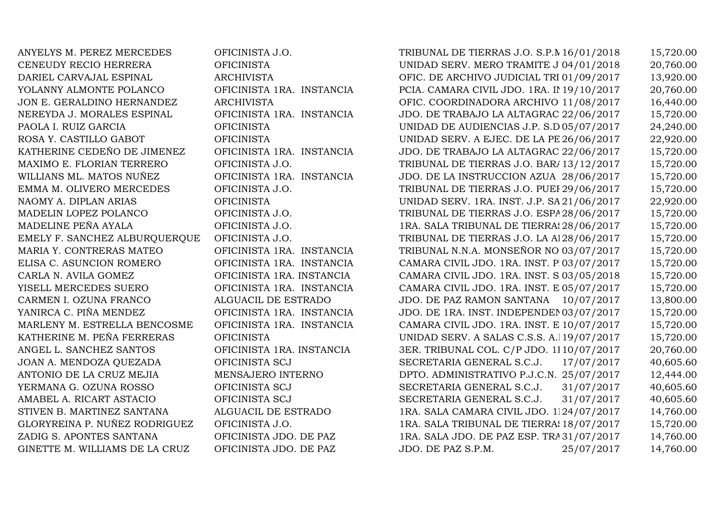STIVEN B. MARTINEZ SANTANA ALGUACIL DE ES<br>GLORYREINA P. NUÑEZ RODRIGUEZ OFICINISTA J.O. GINETTE M. WILLIAMS DE LA CRUZ

ANYELYS M. PEREZ MERCEDES OFICINISTA J.O. TRIBUNAL DE TIERRAS J.O. S.P.M 16/01/2018 15,720.00<br>CENEUDY RECIO HERRERA OFICINISTA UNIDAD SERV. MERO TRAMITE J 04/01/2018 20.760.00 CENEUDY RECIO HERRERA OFICINISTA UNIDAD SERV. MERO TRAMITE J.P. S.D. OESTE 04/01/2018 20,760.00 DARIEL CARVAJAL ESPINAL ARCHIVISTA OFIC. DE ARCHIVO JUDICIAL TRIBUNAL LAB. 01/09/2017 13,920.00 YOLANNY ALMONTE POLANCO OFICINISTA 1RA. INSTANCIA PCIA. CAMARA CIVIL JDO. 1RA. INST. D.N. 19/10/2017 20,760.00 JON E. GERALDINO HERNANDEZ ARCHIVISTA OFIC. COORDINADORA ARCHIVO JUDICIAL 11/08/2017 16,440.00 NEREYDA J. MORALES ESPINAL OFICINISTA 1RA. INSTANCIA JDO. DE TRABAJO LA ALTAGRAC 22/06/2017 15,720.00<br>OFICINISTA UNIDAD DE AUDIENCIAS J.P. S.D 05/07/2017 24.240.00 PAOLA I. RUIZ GARCIA OFICINISTA UNIDAD DE AUDIENCIAS J.P. S.D.05/07/2017 24,240.00 ROSA Y. CASTILLO GABOT OFICINISTA UNIDAD SERV. A EJEC. DE LA PENA J.P. SANTIAGO 26/06/2017 22,920.00 KATHERINE CEDEÑO DE JIMENEZ OFICINISTA 1RA. INSTANCIA JDO. DE TRABAJO LA ALTAGRAC 22/06/2017 15,720.00<br>MAXIMO E. FLORIAN TERRERO OFICINISTA J.O. TRIBUNAL DE TIERRAS J.O. BAR/13/12/2017 15.720.00 MAXIMO E. FLORIAN TERRERO OFICINISTA J.O. TRIBUNAL DE TIERRAS J.O. BARAHONA 13/12/2017 15,720.00 WILLIANS ML. MATOS NUÑEZ OFICINISTA 1RA. INSTANCIA JDO. DE LA INSTRUCCION AZUA 28/06/2017 15,720.00 EMMA M. OLIVERO MERCEDES OFICINISTA J.O. TRIBUNAL DE TIERRAS J.O. PUEI 29/06/2017 15,720.00<br>NAOMY A. DIPLAN ARIAS OFICINISTA DE UNIDAD SERV. 1RA. INST. J.P. SA 21/06/2017 22.920.00 NAOMY A. DIPLAN ARIAS OFICINISTA UNIDAD SERV. 1RA. INST. J.P. SANTIAGO 21/06/2017 22,920.00 MADELIN LOPEZ POLANCO OFICINISTA J.O. TRIBUNAL DE TIERRAS J.O. ESPAILLAT 28/06/2017 15,720.00 MADELINE PEÑA AYALA OFICINISTA J.O. 1RA. SALA TRIBUNAL DE TIERRAS J.O. LA VEGA 28/06/2017 15,720.00 EMELY F. SANCHEZ ALBURQUERQUE OFICINISTA J.O. TRIBUNAL DE TIERRAS J.O. LA A128/06/2017 15,720.00<br>MARIA Y. CONTRERAS MATEO OFICINISTA 1RA. INSTANCIA TRIBUNAL N.N.A. MONSEÑOR NO 03/07/2017 15,720.00 MARIA Y. CONTRERAS MATEO OFICINISTA 1RA. INSTANCIA TRIBUNAL N.N.A. MONSEÑOR NOUEL 03/07/2017 15,720.00 ELISA C. ASUNCION ROMERO OFICINISTA 1RA. INSTANCIA CAMARA CIVIL JDO. 1RA. INST. PERAVIA 03/07/2017 15,720.00 CARLA N. AVILA GOMEZ OFICINISTA 1RA. INSTANCIA CAMARA CIVIL JDO. 1RA. INST. S.P.M. 03/05/2018 15,720.00 YISELL MERCEDES SUERO OFICINISTA 1RA. INSTANCIA CAMARA CIVIL JDO. 1RA. INST. ESPAILLAT 05/07/2017 15,720.00 CARMEN I. OZUNA FRANCO ALGUACIL DE ESTRADO JDO. DE PAZ RAMON SANTANA 10/07/2017 13,800.00 YANIRCA C. PIÑA MENDEZ OFICINISTA 1RA. INSTANCIA JDO. DE 1RA. INST. INDEPENDENCIA 03/07/2017 15,720.00 MARLENY M. ESTRELLA BENCOSME OFICINISTA 1RA. INSTANCIA CAMARA CIVIL JDO. 1RA. INST. E 10/07/2017 15,720.00<br>KATHERINE M. PEÑA FERRERAS OFICINISTA UNIDAD SERV. A SALAS C.S.S. A.119/07/2017 15,720.00 KATHERINE M. PEÑA FERRERAS OFICINISTA UNIDAD SERV. A SALAS C.S.S. A.119/07/2017 15,720.00<br>Antonio 19/07/2017 15,720.000 11.0 (19/07/2017 15,720.000 11.0 (19/07/2017 15,720.000 11.0 (19/07/2017 15,720 ANGEL L. SANCHEZ SANTOS OFICINISTA 1RA. INSTANCIA 3ER. TRIBUNAL COL. C/P JDO. 1RA .INST. D.N. 10/07/2017 20,760.00 JOAN A. MENDOZA QUEZADA OFICINISTA SCJ SECRETARIA GENERAL S.C.J. 17/07/2017 40,605.60 ANTONIO DE LA CRUZ MEJIA MENSAJERO INTERNO DPTO. ADMINISTRATIVO P.J.C.N. 25/07/2017 12,444.00 YERMANA G. OZUNA ROSSO OFICINISTA SCJ SECRETARIA GENERAL S.C.J. 31/07/2017 40,605.60 OFICINISTA SCJ SECRETARIA GENERAL S.C.J. 31/07/2017 40,605.60<br>ALGUACIL DE ESTRADO 1RA. SALA CAMARA CIVIL JDO. 1124/07/2017 14,760.00 1RA. SALA CAMARA CIVIL JDO. 1124/07/2017 14,760.00<br>1RA. SALA TRIBUNAL DE TIERRA: 18/07/2017 15.720.00 GLORYREINA P. NUÑEZ RODRIGUEZ OFICINISTA J.O. 1899 (18 MELA. SALA TRIBUNAL DE TIERRAS 18/07/2017 15,720.00 E ZADIG S. APONTES SANTANA (18/07/2017 15,720.00 OFICINISTA JDO. DE PAZ 1RA. SALA JDO. DE PAZ ESP. TRA31/07/2017 14,760.00<br>OFICINISTA JDO. DE PAZ 1DO. DE PAZ S.P.M. 31/07/2017 14.760.00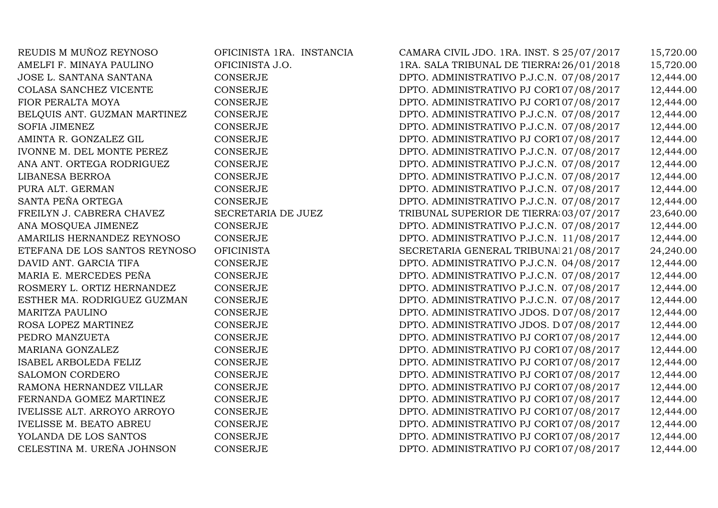REUDIS M MUÑOZ REYNOSO OFICINISTA 1RA. INSTANCIA CAMARA CIVIL JDO. 1RA. INST. S.P.M. 25/07/2017 15,720.00 AMELFI F. MINAYA PAULINO OFICINISTA J.O. 1RA. SALA TRIBUNAL DE TIERRAS J.O. LA VEGA 26/01/2018 15,720.00 JOSE L. SANTANA SANTANA CONSERJE DPTO. ADMINISTRATIVO P.J.C.N. 07/08/2017 12,444.00 COLASA SANCHEZ VICENTE CONSERJE CONSERUE DPTO. ADMINISTRATIVO PJ CORT07/08/2017 12,444.00<br>DPTO. ADMINISTRATIVO PJ CORT07/08/2017 12,444.00 FIOR PERALTA MOYA CONSERJE DPTO. ADMINISTRATIVO PJ CORTE DE APELACION D.N. 07/08/2017 12,444.00 BELQUIS ANT. GUZMAN MARTINEZ CONSERJE DPTO. ADMINISTRATIVO P.J.C.N. 07/08/2017 12,444.00 SOFIA JIMENEZ CONSERJE CONSERJE DPTO. ADMINISTRATIVO P.J.C.N. 07/08/2017 12,444.00<br>AMINTA R. GONZALEZ GIL CONSERJE DPTO. ADMINISTRATIVO PJ CORT 07/08/2017 12.444.00 AMINTA R. GONZALEZ GIL CONSERJE CONSERJE DPTO. ADMINISTRATIVO PJ CORT07/08/2017 12,444.00<br>DPTO. ADMINISTRATIVO P.J.C.N. 07/08/2017 12.444.00 IVONNE M. DEL MONTE PEREZ CONSERJE CONSERUE DPTO. ADMINISTRATIVO P.J.C.N. 07/08/2017 12,444.00<br>ANA ANT. ORTEGA RODRIGUEZ CONSERJE DPTO. ADMINISTRATIVO P.J.C.N. 07/08/2017 12.444.00 ANA ANT. ORTEGA RODRIGUEZ CONSERJE DPTO. ADMINISTRATIVO P.J.C.N. 07/08/2017 12,444.00 LIBANESA BERROA CONSERJE DPTO. ADMINISTRATIVO P.J.C.N. 07/08/2017 12,444.00 PURA ALT. GERMAN CONSERJE DPTO. ADMINISTRATIVO P.J.C.N. 07/08/2017 12,444.00 SANTA PEÑA ORTEGA CONSERJE DPTO. ADMINISTRATIVO P.J.C.N. 07/08/2017 12,444.00 FREILYN J. CABRERA CHAVEZ SECRETARIA DE JUEZ TRIBUNAL SUPERIOR DE TIERRA;03/07/2017 23,640.00<br>2.444.00 DPTO. ADMINISTRATIVO P.J.C.N. 07/08/2017 12.444.00 ANA MOSQUEA JIMENEZ CONSERJE CONSERJE DPTO. ADMINISTRATIVO P.J.C.N. 07/08/2017 12,444.00<br>AMARILIS HERNANDEZ REYNOSO CONSERJE DPTO. ADMINISTRATIVO P.J.C.N. 11/08/2017 12,444.00 AMARILIS HERNANDEZ REYNOSO CONSERJE DPTO. ADMINISTRATIVO P.J.C.N. 11/08/2017 12,444.00 ETEFANA DE LOS SANTOS REYNOSO OFICINISTA SECRETARIA GENERAL TRIBUNA<br/>l $21/08/2017$   $24,240.00$  DAVID ANT. GARCIA TIFA  $\,$  CONSERJE  $\,$  DPTO. ADMINISTRATIVO P.J.C.N. 04/08/2017  $\,$  12.444.00 DAVID ANT. GARCIA TIFA CONSERJE CONSERUE DPTO. ADMINISTRATIVO P.J.C.N. 04/08/2017 12,444.00<br>MARIA E. MERCEDES PEÑA CONSERJE DPTO. ADMINISTRATIVO P.J.C.N. 07/08/2017 12,444.00 MARIA E. MERCEDES PEÑA CONSERJE DPTO. ADMINISTRATIVO P.J.C.N. 07/08/2017 12,444.00 ROSMERY L. ORTIZ HERNANDEZ CONSERJE DPTO. ADMINISTRATIVO P.J.C.N. 07/08/2017 12,444.00 ESTHER MA. RODRIGUEZ GUZMAN CONSERJE DPTO. ADMINISTRATIVO P.J.C.N. 07/08/2017 12,444.00 MARITZA PAULINO CONSERJE DPTO. ADMINISTRATIVO JDOS. DE TRABAJO 07/08/2017 12,444.00 ROSA LOPEZ MARTINEZ CONSERJE DPTO. ADMINISTRATIVO JDOS. DE TRABAJO 07/08/2017 12,444.00 PEDRO MANZUETA CONSERJE DPTO. ADMINISTRATIVO PJ CORTE DE APELACION D.N. 07/08/2017 12,444.00 MARIANA GONZALEZ CONSERJE DPTO. ADMINISTRATIVO PJ CORTE DE APELACION D.N. 07/08/2017 12,444.00 ISABEL ARBOLEDA FELIZ CONSERJE CONSERJE DPTO. ADMINISTRATIVO PJ CORT07/08/2017 12,444.00<br>CONSERJE DPTO. ADMINISTRATIVO PJ CORT07/08/2017 12.444.00 SALOMON CORDERO CONSERJE CONSERJE DPTO. ADMINISTRATIVO PJ CORT07/08/2017 12,444.00<br>RAMONA HERNANDEZ VILLAR CONSERJE DPTO. ADMINISTRATIVO PJ CORT07/08/2017 12,444.00 RAMONA HERNANDEZ VILLAR CONSERJE DPTO. ADMINISTRATIVO PJ CORTE DE APELACION D.N. 07/08/2017 12,444.00 FERNANDA GOMEZ MARTINEZ CONSERJE CONSERJE DPTO. ADMINISTRATIVO PJ CORT07/08/2017 12,444.00<br>DPTO. ADMINISTRATIVO PJ CORT07/08/2017 12,444.00 IVELISSE ALT. ARROYO ARROYO CONSERJE DPTO. ADMINISTRATIVO PJ CORT07/08/2017 12,444.00<br>DPTO. ADMINISTRATIVO PJ CORT07/08/2017 12,444.00 IVELISSE M. BEATO ABREU CONSERJE CONSERUE DPTO. ADMINISTRATIVO PJ CORT07/08/2017 12,444.00<br>2.444.00 DPTO. ADMINISTRATIVO PJ CORT07/08/2017 12.444.00 YOLANDA DE LOS SANTOS CONSERJE CONSERUE DPTO. ADMINISTRATIVO PJ CORT07/08/2017 12,444.00<br>DPTO. ADMINISTRATIVO PJ CORT07/08/2017 12.444.00 DPTO. ADMINISTRATIVO PJ CORT 07/08/2017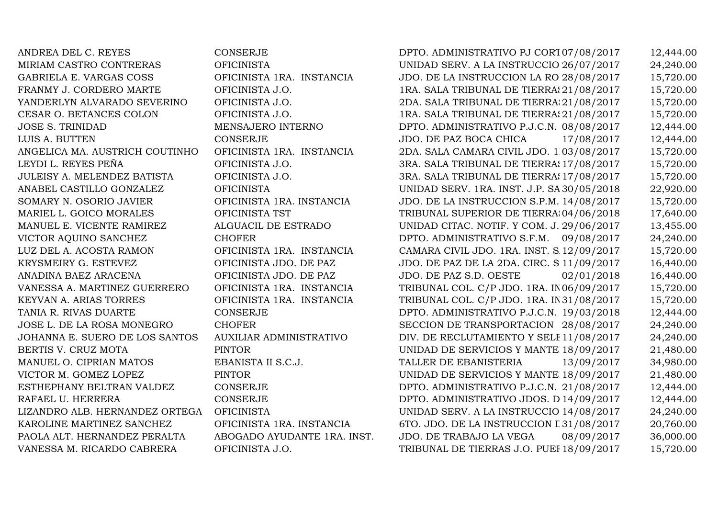MANUEL E. VICENTE RAMIREZ ALGUACI<br>VICTOR AOUINO SANCHEZ CHOFER JOHANNA E. SUERO DE LOS SANTOS AUXILIA<br>RERTIS V. CRUZ MOTA PINTOR

ANDREA DEL C. REYES CONSERJE CONSERJE DPTO. ADMINISTRATIVO PJ CORT07/08/2017 12,444.00<br>MIRIAM CASTRO CONTRERAS OFICINISTA DE UNIDAD SERV. A LA INSTRUCCIO 26/07/2017 24.240.00 MIRIAM CASTRO CONTRERAS OFICINISTA DELLA INIDAD SERV. A LA INSTRUCCIO 26/07/2017 24,240.00<br>GABRIELA E. VARGAS COSS OFICINISTA 1RA. INSTANCIA JDO. DE LA INSTRUCCION LA RO 28/08/2017 15.720.00 GABRIELA E. VARGAS COSS OFICINISTA 1RA. INSTANCIA JDO. DE LA INSTRUCCION LA ROMANA 28/08/2017 15,720.00 FRANMY J. CORDERO MARTE OFICINISTA J.O. 1RA. SALA TRIBUNAL DE TIERRAS J.O. DUARTE 21/08/2017 15,720.00 YANDERLYN ALVARADO SEVERINO OFICINISTA J.O. 2DA. SALA TRIBUNAL DE TIERRA:21/08/2017 15,720.00<br>2DA. SALA TRIBUNAL DE TIERRA:21/08/2017 15,720.00 CESAR O. BETANCES COLON CFICINISTA J.O. 1RA. SALA TRIBUNAL DE TIERRA: 21/08/2017 15,720.00<br>10SE S. TRINIDAD MENSAJERO INTERNO DPTO. ADMINISTRATIVO P.J.C.N. 08/08/2017 12.444.00 JOSE S. TRINIDAD MENSAJERO INTERNO DPTO. ADMINISTRATIVO P.J.C.N. 08/08/2017 12,444.00<br>CONSERJE JDO. DE PAZ BOCA CHICA 17/08/2017 12,444.00 LUIS A. BUTTEN CONSERJE JDO. DE PAZ BOCA CHICA 17/08/2017 12,444.00 ANGELICA MA. AUSTRICH COUTINHO OFICINISTA 1RA. INSTANCIA 2DA. SALA CAMARA CIVIL JDO. 1RA. INST. SANTIAGO 03/08/2017 15,720.00 LEYDI L. REYES PEÑA OFICINISTA J.O. 3RA. SALA TRIBUNAL DE TIERRAS J.O. SANTIAGO 17/08/2017 15,720.00 JULEISY A. MELENDEZ BATISTA OFICINISTA J.O. 3RA. SALA TRIBUNAL DE TIERRAS J.O. SANTIAGO 17/08/2017 15,720.00 ANABEL CASTILLO GONZALEZ OFICINISTA UNIDAD SERV. 1RA. INST. J.P. SANTIAGO 30/05/2018 22,920.00 SOMARY N. OSORIO JAVIER OFICINISTA 1RA. INSTANCIA JDO. DE LA INSTRUCCION S.P.M. 14/08/2017 15,720.00 MARIEL L. GOICO MORALES OFICINISTA TST TRIBUNAL SUPERIOR DE TIERRAS DPTO. ESTE 04/06/2018 17,640.00 UNIDAD CITAC. NOTIF. Y COM. J. 29/06/2017 13,455.00<br>DPTO. ADMINISTRATIVO S.F.M. 09/08/2017 24.240.00 VICTOR AQUINO SANCHEZ CHOFER CHOFER DPTO. ADMINISTRATIVO S.F.M. 09/08/2017 24,240.00<br>DPTO. ADMINISTRATIVO S.F.M. 09/08/2017 15,720.00 LUZ DEL A. ACOSTA RAMON OFICINISTA 1RA. INSTANCIA CAMARA CIVIL JDO. 1RA. INST. SAMANA 12/09/2017 15,720.00 KRYSMEIRY G. ESTEVEZ OFICINISTA JDO. DE PAZ JDO. DE PAZ DE LA 2DA. CIRC. S.D. ESTE 11/09/2017 16,440.00 ANADINA BAEZ ARACENA OFICINISTA JDO. DE PAZ JDO. DE PAZ S.D. OESTE 02/01/2018 16,440.00 VANESSA A. MARTINEZ GUERRERO OFICINISTA 1RA. INSTANCIA TRIBUNAL COL. C/P JDO. 1RA. IN06/09/2017 15,720.00<br>KEYVAN A. ARIAS TORRES OFICINISTA 1RA. INSTANCIA TRIBUNAL COL. C/P JDO. 1RA. IN31/08/2017 15.720.00 KEYVAN A. ARIAS TORRES OFICINISTA 1RA. INSTANCIA TRIBUNAL COL. C/P JDO. 1RA. INST. LA ALTAGRACIA 31/08/2017 15,720.00 TANIA R. RIVAS DUARTE CONSERJE CONSERJE DPTO. ADMINISTRATIVO P.J.C.N. 19/03/2018 12,444.00<br>DPTO. ADMINISTRATIVO P.J.C.N. 19/03/2018 12,444.00<br>SECCION DE TRANSPORTACION 28/08/2017 24.240.00 CHOFER SECCION DE TRANSPORTACION 28/08/2017 24,240.00<br>AUXILIAR ADMINISTRATIVO DIV. DE RECLUTAMIENTO Y SELE 11/08/2017 24.240.00 DIV. DE RECLUTAMIENTO Y SELE 11/08/2017 24,240.00<br>UNIDAD DE SERVICIOS Y MANTE 18/09/2017 21,480.00 BERTIS V. CRUZ MOTA PINTOR UNIDAD DE SERVICIOS Y MANTENIMIENTO 18/09/2017 21,480.00 MANUEL O. CIPRIAN MATOS EBANISTA II S.C.J. TALLER DE EBANISTERIA 13/09/2017 34,980.00<br>VICTOR M. GOMEZ LOPEZ PINTOR PINTOR UNIDAD DE SERVICIOS Y MANTE 18/09/2017 21.480.00 VICTOR M. GOMEZ LOPEZ PINTOR PINTOR UNIDAD DE SERVICIOS Y MANTE 18/09/2017 21,480.00 ESTHEPHANY BELTRAN VALDEZ CONSERJE CONSERUE DPTO. ADMINISTRATIVO P.J.C.N. 21/08/2017 12,444.00<br>DPTO. ADMINISTRATIVO JDOS. D14/09/2017 12,444.00 RAFAEL U. HERRERA CONSERJE DPTO. ADMINISTRATIVO JDOS. DE TRABAJO 14/09/2017 12,444.00 LIZANDRO ALB. HERNANDEZ ORTEGA OFICINISTA UNIDAD SERV. A LA INSTRUCCIO 14/08/2017 24,240.00<br>KAROLINE MARTINEZ SANCHEZ OFICINISTA 1RA. INSTANCIA 6TO. JDO. DE LA INSTRUCCION L 31/08/2017 20.760.00 OFICINISTA 1RA. INSTANCIA 6TO. JDO. DE LA INSTRUCCION L31/08/2017 20,760.00<br>ABOGADO AYUDANTE 1RA. INST. JDO. DE TRABAJO LA VEGA 08/09/2017 36,000.00 PAOLA ALT. HERNANDEZ PERALTA ABOGADO AYUDANTE 1RA. INST. JDO. DE TRABAJO LA VEGA 08/09/2017 36,000.00<br>VANESSA M. RICARDO CABRERA OFICINISTA J.O. TRIBUNAL DE TIERRAS J.O. PUEI 18/09/2017 15.720.00 TRIBUNAL DE TIERRAS J.O. PUEI 18/09/2017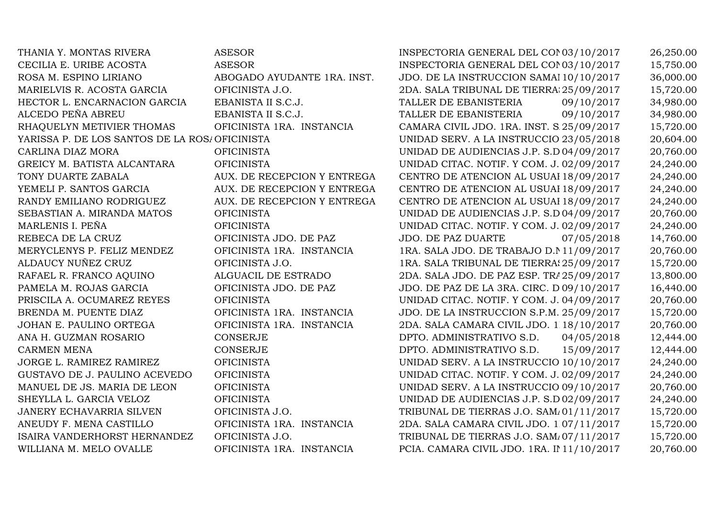| THANIA Y. MONTAS RIVERA                       | <b>ASESOR</b>               | INSPECTORIA GENERAL DEL CON 03/10/2017     | 26,250.00 |
|-----------------------------------------------|-----------------------------|--------------------------------------------|-----------|
| CECILIA E. URIBE ACOSTA                       | <b>ASESOR</b>               | INSPECTORIA GENERAL DEL CON 03/10/2017     | 15,750.00 |
| ROSA M. ESPINO LIRIANO                        | ABOGADO AYUDANTE 1RA. INST. | JDO. DE LA INSTRUCCION SAMAI 10/10/2017    | 36,000.00 |
| MARIELVIS R. ACOSTA GARCIA                    | OFICINISTA J.O.             | 2DA. SALA TRIBUNAL DE TIERRA: 25/09/2017   | 15,720.00 |
| HECTOR L. ENCARNACION GARCIA                  | EBANISTA II S.C.J.          | TALLER DE EBANISTERIA<br>09/10/2017        | 34,980.00 |
| ALCEDO PEÑA ABREU                             | EBANISTA II S.C.J.          | TALLER DE EBANISTERIA<br>09/10/2017        | 34,980.00 |
| RHAQUELYN METIVIER THOMAS                     | OFICINISTA 1RA. INSTANCIA   | CAMARA CIVIL JDO. 1RA. INST. S.25/09/2017  | 15,720.00 |
| YARISSA P. DE LOS SANTOS DE LA ROS/OFICINISTA |                             | UNIDAD SERV. A LA INSTRUCCIO 23/05/2018    | 20,604.00 |
| CARLINA DIAZ MORA                             | <b>OFICINISTA</b>           | UNIDAD DE AUDIENCIAS J.P. S.D 04/09/2017   | 20,760.00 |
| GREICY M. BATISTA ALCANTARA                   | <b>OFICINISTA</b>           | UNIDAD CITAC. NOTIF. Y COM. J. 02/09/2017  | 24,240.00 |
| TONY DUARTE ZABALA                            | AUX. DE RECEPCION Y ENTREGA | CENTRO DE ATENCION AL USUAI 18/09/2017     | 24,240.00 |
| YEMELI P. SANTOS GARCIA                       | AUX. DE RECEPCION Y ENTREGA | CENTRO DE ATENCION AL USUAI 18/09/2017     | 24,240.00 |
| RANDY EMILIANO RODRIGUEZ                      | AUX. DE RECEPCION Y ENTREGA | CENTRO DE ATENCION AL USUAI 18/09/2017     | 24,240.00 |
| SEBASTIAN A. MIRANDA MATOS                    | <b>OFICINISTA</b>           | UNIDAD DE AUDIENCIAS J.P. S.D 04/09/2017   | 20,760.00 |
| MARLENIS I. PEÑA                              | <b>OFICINISTA</b>           | UNIDAD CITAC. NOTIF. Y COM. J. 02/09/2017  | 24,240.00 |
| REBECA DE LA CRUZ                             | OFICINISTA JDO. DE PAZ      | JDO. DE PAZ DUARTE<br>07/05/2018           | 14,760.00 |
| MERYCLENYS P. FELIZ MENDEZ                    | OFICINISTA 1RA. INSTANCIA   | 1RA. SALA JDO. DE TRABAJO D. N11/09/2017   | 20,760.00 |
| ALDAUCY NUÑEZ CRUZ                            | OFICINISTA J.O.             | 1RA. SALA TRIBUNAL DE TIERRA: 25/09/2017   | 15,720.00 |
| RAFAEL R. FRANCO AQUINO                       | ALGUACIL DE ESTRADO         | 2DA. SALA JDO. DE PAZ ESP. TRA 25/09/2017  | 13,800.00 |
| PAMELA M. ROJAS GARCIA                        | OFICINISTA JDO. DE PAZ      | JDO. DE PAZ DE LA 3RA. CIRC. D 09/10/2017  | 16,440.00 |
| PRISCILA A. OCUMAREZ REYES                    | <b>OFICINISTA</b>           | UNIDAD CITAC. NOTIF. Y COM. J. 04/09/2017  | 20,760.00 |
| BRENDA M. PUENTE DIAZ                         | OFICINISTA 1RA. INSTANCIA   | JDO. DE LA INSTRUCCION S.P.M. 25/09/2017   | 15,720.00 |
| JOHAN E. PAULINO ORTEGA                       | OFICINISTA 1RA. INSTANCIA   | 2DA. SALA CAMARA CIVIL JDO. 1 18/10/2017   | 20,760.00 |
| ANA H. GUZMAN ROSARIO                         | <b>CONSERJE</b>             | DPTO. ADMINISTRATIVO S.D.<br>04/05/2018    | 12,444.00 |
| <b>CARMEN MENA</b>                            | <b>CONSERJE</b>             | DPTO. ADMINISTRATIVO S.D.<br>15/09/2017    | 12,444.00 |
| JORGE L. RAMIREZ RAMIREZ                      | <b>OFICINISTA</b>           | UNIDAD SERV. A LA INSTRUCCIO 10/10/2017    | 24,240.00 |
| GUSTAVO DE J. PAULINO ACEVEDO                 | <b>OFICINISTA</b>           | UNIDAD CITAC. NOTIF. Y COM. J. 02/09/2017  | 24,240.00 |
| MANUEL DE JS. MARIA DE LEON                   | <b>OFICINISTA</b>           | UNIDAD SERV. A LA INSTRUCCIO 09/10/2017    | 20,760.00 |
| SHEYLLA L. GARCIA VELOZ                       | <b>OFICINISTA</b>           | UNIDAD DE AUDIENCIAS J.P. S.D 02/09/2017   | 24,240.00 |
| <b>JANERY ECHAVARRIA SILVEN</b>               | OFICINISTA J.O.             | TRIBUNAL DE TIERRAS J.O. SAM/01/11/2017    | 15,720.00 |
| ANEUDY F. MENA CASTILLO                       | OFICINISTA 1RA. INSTANCIA   | 2DA. SALA CAMARA CIVIL JDO. 1.07/11/2017   | 15,720.00 |
| ISAIRA VANDERHORST HERNANDEZ                  | OFICINISTA J.O.             | TRIBUNAL DE TIERRAS J.O. SAM/07/11/2017    | 15,720.00 |
| WILLIANA M. MELO OVALLE                       | OFICINISTA 1RA. INSTANCIA   | PCIA. CAMARA CIVIL JDO. 1RA. II 11/10/2017 | 20,760.00 |
|                                               |                             |                                            |           |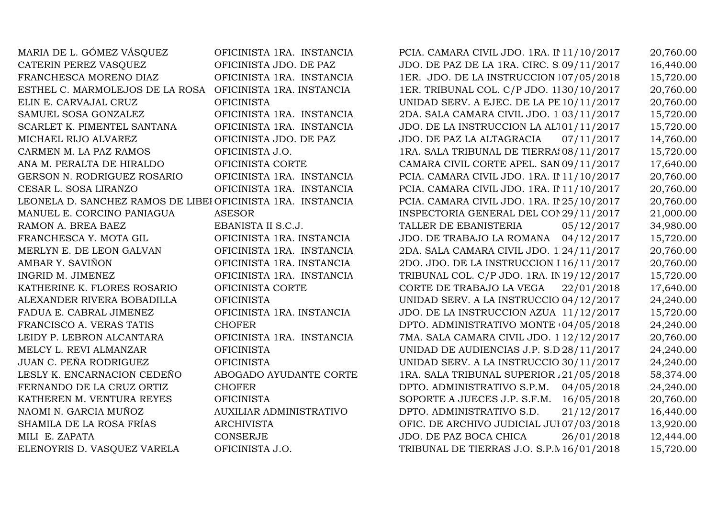| MARIA DE L. GOMEZ VASQUEZ                                   | OFICINISTA 1RA. INSTANCIA | PCIA. CAMARA CIVIL JDO. 1RA. II 11/10/2017 | 20,760.00 |
|-------------------------------------------------------------|---------------------------|--------------------------------------------|-----------|
| CATERIN PEREZ VASQUEZ                                       | OFICINISTA JDO. DE PAZ    | JDO. DE PAZ DE LA 1RA. CIRC. S.09/11/2017  | 16,440.00 |
| FRANCHESCA MORENO DIAZ                                      | OFICINISTA 1RA. INSTANCIA | 1ER. JDO. DE LA INSTRUCCION 107/05/2018    | 15,720.00 |
| ESTHEL C. MARMOLEJOS DE LA ROSA                             | OFICINISTA 1RA. INSTANCIA | 1ER. TRIBUNAL COL. C/P JDO. 1130/10/2017   | 20,760.00 |
| ELIN E. CARVAJAL CRUZ                                       | <b>OFICINISTA</b>         | UNIDAD SERV. A EJEC. DE LA PE 10/11/2017   | 20,760.00 |
| SAMUEL SOSA GONZALEZ                                        | OFICINISTA 1RA. INSTANCIA | 2DA. SALA CAMARA CIVIL JDO. 1 03/11/2017   | 15,720.00 |
| SCARLET K. PIMENTEL SANTANA                                 | OFICINISTA 1RA. INSTANCIA | JDO. DE LA INSTRUCCION LA AL101/11/2017    | 15,720.00 |
| MICHAEL RIJO ALVAREZ                                        | OFICINISTA JDO. DE PAZ    | JDO. DE PAZ LA ALTAGRACIA<br>07/11/2017    | 14,760.00 |
| CARMEN M. LA PAZ RAMOS                                      | OFICINISTA J.O.           | 1RA. SALA TRIBUNAL DE TIERRA: 08/11/2017   | 15,720.00 |
| ANA M. PERALTA DE HIRALDO                                   | OFICINISTA CORTE          | CAMARA CIVIL CORTE APEL. SAN 09/11/2017    | 17,640.00 |
| GERSON N. RODRIGUEZ ROSARIO                                 | OFICINISTA 1RA. INSTANCIA | PCIA. CAMARA CIVIL JDO. 1RA. II 11/10/2017 | 20,760.00 |
| CESAR L. SOSA LIRANZO                                       | OFICINISTA 1RA. INSTANCIA | PCIA. CAMARA CIVIL JDO. 1RA. II 11/10/2017 | 20,760.00 |
| LEONELA D. SANCHEZ RAMOS DE LIBEI OFICINISTA 1RA. INSTANCIA |                           | PCIA. CAMARA CIVIL JDO. 1RA. II 25/10/2017 | 20,760.00 |
| MANUEL E. CORCINO PANIAGUA                                  | <b>ASESOR</b>             | INSPECTORIA GENERAL DEL CON 29/11/2017     | 21,000.00 |
| RAMON A. BREA BAEZ                                          | EBANISTA II S.C.J.        | TALLER DE EBANISTERIA<br>05/12/2017        | 34,980.00 |
| FRANCHESCA Y. MOTA GIL                                      | OFICINISTA 1RA. INSTANCIA | JDO. DE TRABAJO LA ROMANA 04/12/2017       | 15,720.00 |
| MERLYN E. DE LEON GALVAN                                    | OFICINISTA 1RA. INSTANCIA | 2DA. SALA CAMARA CIVIL JDO. 1 24/11/2017   | 20,760.00 |
| AMBAR Y. SAVIÑON                                            | OFICINISTA 1RA. INSTANCIA | 2DO. JDO. DE LA INSTRUCCION I 16/11/2017   | 20,760.00 |
| INGRID M. JIMENEZ                                           | OFICINISTA 1RA. INSTANCIA | TRIBUNAL COL. C/P JDO. 1RA. IN 19/12/2017  | 15,720.00 |
| KATHERINE K. FLORES ROSARIO                                 | OFICINISTA CORTE          | CORTE DE TRABAJO LA VEGA<br>22/01/2018     | 17,640.00 |
| ALEXANDER RIVERA BOBADILLA                                  | <b>OFICINISTA</b>         | UNIDAD SERV. A LA INSTRUCCIO 04/12/2017    | 24,240.00 |
| FADUA E. CABRAL JIMENEZ                                     | OFICINISTA 1RA. INSTANCIA | JDO. DE LA INSTRUCCION AZUA 11/12/2017     | 15,720.00 |
| FRANCISCO A. VERAS TATIS                                    | <b>CHOFER</b>             | DPTO. ADMINISTRATIVO MONTE (04/05/2018     | 24,240.00 |
| LEIDY P. LEBRON ALCANTARA                                   | OFICINISTA 1RA. INSTANCIA | 7MA. SALA CAMARA CIVIL JDO. 1 12/12/2017   | 20,760.00 |
| MELCY L. REVI ALMANZAR                                      | <b>OFICINISTA</b>         | UNIDAD DE AUDIENCIAS J.P. S.D 28/11/2017   | 24,240.00 |
| JUAN C. PEÑA RODRIGUEZ                                      | <b>OFICINISTA</b>         | UNIDAD SERV. A LA INSTRUCCIO 30/11/2017    | 24,240.00 |
| LESLY K. ENCARNACION CEDEÑO                                 | ABOGADO AYUDANTE CORTE    | 1RA. SALA TRIBUNAL SUPERIOR 121/05/2018    | 58,374.00 |
| FERNANDO DE LA CRUZ ORTIZ                                   | <b>CHOFER</b>             | DPTO. ADMINISTRATIVO S.P.M. 04/05/2018     | 24,240.00 |
| KATHEREN M. VENTURA REYES                                   | <b>OFICINISTA</b>         | SOPORTE A JUECES J.P. S.F.M. 16/05/2018    | 20,760.00 |
| NAOMI N. GARCIA MUÑOZ                                       | AUXILIAR ADMINISTRATIVO   | DPTO. ADMINISTRATIVO S.D.<br>21/12/2017    | 16,440.00 |
| SHAMILA DE LA ROSA FRÍAS                                    | <b>ARCHIVISTA</b>         | OFIC. DE ARCHIVO JUDICIAL JUI 07/03/2018   | 13,920.00 |
| MILI E. ZAPATA                                              | CONSERJE                  | JDO. DE PAZ BOCA CHICA<br>26/01/2018       | 12,444.00 |
| ELENOYRIS D. VASOUEZ VARELA                                 | OFICINISTA J.O.           | TRIBUNAL DE TIERRAS J.O. S.P.N 16/01/2018  | 15,720.00 |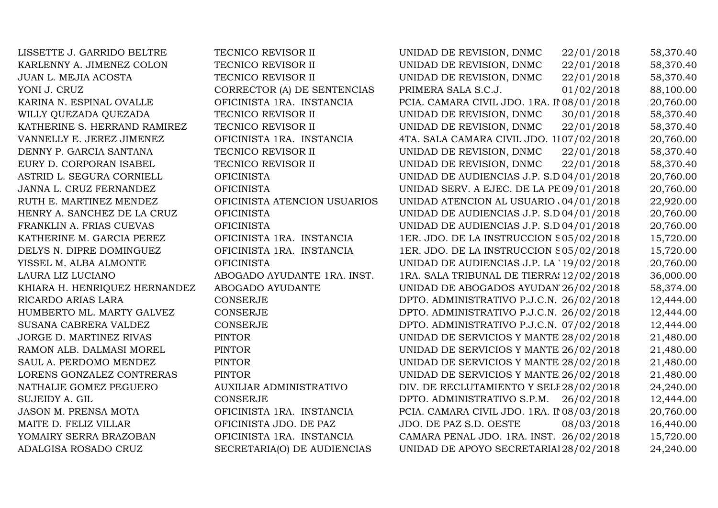| LISSETTE J. GARRIDO BELTRE    | TECNICO REVISOR II           | UNIDAD DE REVISION, DNMC<br>22/01/2018     | 58,370.40 |
|-------------------------------|------------------------------|--------------------------------------------|-----------|
| KARLENNY A. JIMENEZ COLON     | TECNICO REVISOR II           | UNIDAD DE REVISION, DNMC<br>22/01/2018     | 58,370.40 |
| JUAN L. MEJIA ACOSTA          | TECNICO REVISOR II           | 22/01/2018<br>UNIDAD DE REVISION, DNMC     | 58,370.40 |
| YONI J. CRUZ                  | CORRECTOR (A) DE SENTENCIAS  | 01/02/2018<br>PRIMERA SALA S.C.J.          | 88,100.00 |
| KARINA N. ESPINAL OVALLE      | OFICINISTA 1RA. INSTANCIA    | PCIA. CAMARA CIVIL JDO. 1RA. II 08/01/2018 | 20,760.00 |
| WILLY QUEZADA QUEZADA         | TECNICO REVISOR II           | 30/01/2018<br>UNIDAD DE REVISION, DNMC     | 58,370.40 |
| KATHERINE S. HERRAND RAMIREZ  | TECNICO REVISOR II           | 22/01/2018<br>UNIDAD DE REVISION, DNMC     | 58,370.40 |
| VANNELLY E. JEREZ JIMENEZ     | OFICINISTA 1RA. INSTANCIA    | 4TA. SALA CAMARA CIVIL JDO. 1107/02/2018   | 20,760.00 |
| DENNY P. GARCIA SANTANA       | TECNICO REVISOR II           | 22/01/2018<br>UNIDAD DE REVISION, DNMC     | 58,370.40 |
| EURY D. CORPORAN ISABEL       | TECNICO REVISOR II           | 22/01/2018<br>UNIDAD DE REVISION, DNMC     | 58,370.40 |
| ASTRID L. SEGURA CORNIELL     | <b>OFICINISTA</b>            | UNIDAD DE AUDIENCIAS J.P. S.D 04/01/2018   | 20,760.00 |
| JANNA L. CRUZ FERNANDEZ       | <b>OFICINISTA</b>            | UNIDAD SERV. A EJEC. DE LA PE 09/01/2018   | 20,760.00 |
| RUTH E. MARTINEZ MENDEZ       | OFICINISTA ATENCION USUARIOS | UNIDAD ATENCION AL USUARIO $0.04/01/2018$  | 22,920.00 |
| HENRY A. SANCHEZ DE LA CRUZ   | <b>OFICINISTA</b>            | UNIDAD DE AUDIENCIAS J.P. S.D 04/01/2018   | 20,760.00 |
| FRANKLIN A. FRIAS CUEVAS      | <b>OFICINISTA</b>            | UNIDAD DE AUDIENCIAS J.P. S.D 04/01/2018   | 20,760.00 |
| KATHERINE M. GARCIA PEREZ     | OFICINISTA 1RA. INSTANCIA    | 1ER. JDO. DE LA INSTRUCCION S05/02/2018    | 15,720.00 |
| DELYS N. DIPRE DOMINGUEZ      | OFICINISTA 1RA. INSTANCIA    | 1ER. JDO. DE LA INSTRUCCION S05/02/2018    | 15,720.00 |
| YISSEL M. ALBA ALMONTE        | <b>OFICINISTA</b>            | UNIDAD DE AUDIENCIAS J.P. LA '19/02/2018   | 20,760.00 |
| LAURA LIZ LUCIANO             | ABOGADO AYUDANTE 1RA. INST.  | 1RA. SALA TRIBUNAL DE TIERRAS 12/02/2018   | 36,000.00 |
| KHIARA H. HENRIQUEZ HERNANDEZ | ABOGADO AYUDANTE             | UNIDAD DE ABOGADOS AYUDAN' 26/02/2018      | 58,374.00 |
| RICARDO ARIAS LARA            | <b>CONSERJE</b>              | DPTO. ADMINISTRATIVO P.J.C.N. 26/02/2018   | 12,444.00 |
| HUMBERTO ML. MARTY GALVEZ     | <b>CONSERJE</b>              | DPTO. ADMINISTRATIVO P.J.C.N. 26/02/2018   | 12,444.00 |
| SUSANA CABRERA VALDEZ         | <b>CONSERJE</b>              | DPTO. ADMINISTRATIVO P.J.C.N. 07/02/2018   | 12,444.00 |
| JORGE D. MARTINEZ RIVAS       | <b>PINTOR</b>                | UNIDAD DE SERVICIOS Y MANTE 28/02/2018     | 21,480.00 |
| RAMON ALB. DALMASI MOREL      | <b>PINTOR</b>                | UNIDAD DE SERVICIOS Y MANTE 26/02/2018     | 21,480.00 |
| SAUL A. PERDOMO MENDEZ        | <b>PINTOR</b>                | UNIDAD DE SERVICIOS Y MANTE 28/02/2018     | 21,480.00 |
| LORENS GONZALEZ CONTRERAS     | <b>PINTOR</b>                | UNIDAD DE SERVICIOS Y MANTE 26/02/2018     | 21,480.00 |
| NATHALIE GOMEZ PEGUERO        | AUXILIAR ADMINISTRATIVO      | DIV. DE RECLUTAMIENTO Y SELE 28/02/2018    | 24,240.00 |
| <b>SUJEIDY A. GIL</b>         | <b>CONSERJE</b>              | DPTO. ADMINISTRATIVO S.P.M.<br>26/02/2018  | 12,444.00 |
| JASON M. PRENSA MOTA          | OFICINISTA 1RA. INSTANCIA    | PCIA. CAMARA CIVIL JDO. 1RA. II 08/03/2018 | 20,760.00 |
| MAITE D. FELIZ VILLAR         | OFICINISTA JDO. DE PAZ       | JDO. DE PAZ S.D. OESTE<br>08/03/2018       | 16,440.00 |
| YOMAIRY SERRA BRAZOBAN        | OFICINISTA 1RA. INSTANCIA    | CAMARA PENAL JDO. 1RA. INST. 26/02/2018    | 15,720.00 |
| ADALGISA ROSADO CRUZ          | SECRETARIA(O) DE AUDIENCIAS  | UNIDAD DE APOYO SECRETARIAI 28/02/2018     | 24,240.00 |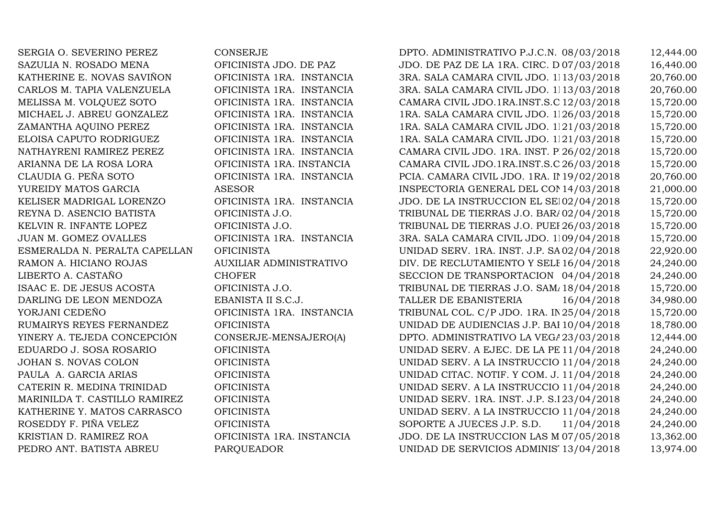RAMON A. HICIANO ROJAS AUXILIAR ADMINISTRATIVO

SERGIA O. SEVERINO PEREZ CONSERJE CONSERJE DPTO. ADMINISTRATIVO P.J.C.N. 08/03/2018 12,444.00<br>SAZULIA N. ROSADO MENA OFICINISTA JDO. DE PAZ JDO. DE PAZ DE LA 1RA. CIRC. D07/03/2018 16.440.00 SAZULIA N. ROSADO MENA OFICINISTA JDO. DE PAZ JDO. DE PAZ DE LA 1RA. CIRC. D.N. 07/03/2018 16,440.00 KATHERINE E. NOVAS SAVIÑON OFICINISTA 1RA. INSTANCIA 3RA. SALA CAMARA CIVIL JDO. 1113/03/2018 20,760.00<br>CARLOS M. TAPIA VALENZUELA OFICINISTA 1RA. INSTANCIA 3RA. SALA CAMARA CIVIL JDO. 1113/03/2018 20.760.00 CARLOS M. TAPIA VALENZUELA OFICINISTA 1RA. INSTANCIA 3RA. SALA CAMARA CIVIL JDO. 1113/03/2018 20,760.00<br>MELISSA M. VOLQUEZ SOTO OFICINISTA 1RA. INSTANCIA CAMARA CIVIL JDO.1RA.INST.S.C 12/03/2018 15,720.00 MELISSA M. VOLQUEZ SOTO OFICINISTA 1RA. INSTANCIA CAMARA CIVIL JDO.1RA.INST.S.C.12/03/2018 15,720.00 MICHAEL J. ABREU GONZALEZ OFICINISTA 1RA. INSTANCIA 1RA. SALA CAMARA CIVIL JDO. 1126/03/2018 15,720.00<br>ZAMANTHA AOUINO PEREZ OFICINISTA 1RA. INSTANCIA 1RA. SALA CAMARA CIVIL JDO. 1121/03/2018 15.720.00 ZAMANTHA AQUINO PEREZ OFICINISTA 1RA. INSTANCIA 1RA. SALA CAMARA CIVIL JDO. 1RA. INST. S.P.M. 21/03/2018 15,720.00 ELOISA CAPUTO RODRIGUEZ OFICINISTA 1RA. INSTANCIA 1RA. SALA CAMARA CIVIL JDO. 1121/03/2018 15,720.00<br>NATHAYRENI RAMIREZ PEREZ OFICINISTA 1RA. INSTANCIA NATHAYRENI RAMIREZ PEREZ OFICINISTA 1RA. INSTANCIA CAMARA CIVIL JDO. 1RA. INST. P.26/02/2018 15,720.00<br>ARIANNA DE LA ROSA LORA OFICINISTA 1RA. INSTANCIA CAMARA CIVI ARIANNA DE LA ROSA LORA OFICINISTA 1RA. INSTANCIA CAMARA CIVIL JDO.1RA.INST.S.C.26/03/2018 15,720.00 CLAUDIA G. PEÑA SOTO OFICINISTA 1RA. INSTANCIA PCIA. CAMARA CIVIL JDO. 1RA. INST. D.N. 19/02/2018 20,760.00 YUREIDY MATOS GARCIA ASESOR INSPECTORIA GENERAL DEL CONSEJO DEL PODER JUDICIAL 14/03/2018 21,000.00 KELISER MADRIGAL LORENZO OFICINISTA 1RA. INSTANCIA JDO. DE LA INSTRUCCION EL SEIBO02/04/2018 15,720.00 REYNA D. ASENCIO BATISTA OFICINISTA J.O. TRIBUNAL DE TIERRAS J.O. BARAHONA 02/04/2018 15,720.00 KELVIN R. INFANTE LOPEZ OFICINISTA J.O. TRIBUNAL DE TIERRAS J.O. PUERTO PLATA 26/03/2018 15,720.00 JUAN M. GOMEZ OVALLES OFICINISTA 1RA. INSTANCIA 3RA. SALA CAMARA CIVIL JDO. 1RA. INST. SANTIAGO 09/04/2018 15,720.00 ESMERALDA N. PERALTA CAPELLAN OFICINISTA UNIDAD SERV. 1RA. INST. J.P. SANTIAGO 02/04/2018 22,920.00 DIV. DE RECLUTAMIENTO Y SELE 16/04/2018 24,240.00<br>SECCION DE TRANSPORTACION 04/04/2018 24.240.00 LIBERTO A. CASTAÑO CHOFER SECCION DE TRANSPORTACION 04/04/2018 24,240.00 ISAAC E. DE JESUS ACOSTA OFICINISTA J.O. TRIBUNAL DE TIERRAS J.O. SAMANA 18/04/2018 15,720.00 DARLING DE LEON MENDOZA EBANISTA II S.C.J. TALLER DE EBANISTERIA 16/04/2018 34,980.00 YORJANI CEDEÑO OFICINISTA 1RA. INSTANCIA TRIBUNAL COL. C/P JDO. 1RA. INST. LA ALTAGRACIA 25/04/2018 15,720.00 RUMAIRYS REYES FERNANDEZ OFICINISTA UNIDAD DE AUDIENCIAS J.P. BAI 10/04/2018 18,780.00<br>2,444.00 YINERY A. TEJEDA CONCEPCIÓN CONSERJE-MENSAJERO(A) DPTO. ADMINISTRATIVO LA VEGA 23/03/2018 12,444.00 YINERY A. TEJEDA CONCEPCIÓN CONSERJE-MENSAJERO(A) DPTO. ADMINISTRATIVO LA VEGA23/03/2018 12,444.00<br>EDUARDO J. SOSA ROSARIO OFICINISTA UNIDAD SERV. A EJEC. DE LA PE 11/04/2018 24,240.00 EDUARDO J. SOSA ROSARIO OFICINISTA UNIDAD SERV. A EJEC. DE LA PENA J.P. S.D. 11/04/2018 24,240.00 JOHAN S. NOVAS COLON OFICINISTA UNIDAD SERV. A LA INSTRUCCION J.P. S.D. 11/04/2018 24,240.00 PAULA A. GARCIA ARIAS OFICINISTA UNIDAD CITAC. NOTIF. Y COM. J.P. S.D. 11/04/2018 24,240.00 CATERIN R. MEDINA TRINIDAD OFICINISTA UNIDAD SERV. A LA INSTRUCCION J.P. S.D. 11/04/2018 24,240.00 MARINILDA T. CASTILLO RAMIREZ OFICINISTA UNIDAD SERV. 1RA. INST. J.P. S.I23/04/2018 24,240.00<br>KATHERINE Y. MATOS CARRASCO OFICINISTA UNIDAD SERV. A LA INSTRUCCIO 11/04/2018 24,240.00 KATHERINE Y. MATOS CARRASCO OFICINISTA UNIDAD SERV. A LA INSTRUCCIO 11/04/2018 24,240.00<br>ROSEDDY F. PIÑA VELEZ OFICINISTA OFICINISTA SOPORTE A JUECES J.P. S.D. 11/04/2018 24.240.00 ROSEDDY F. PIÑA VELEZ OFICINISTA SOPORTE A JUECES J.P. S.D. 11/04/2018 24,240.00 KRISTIAN D. RAMIREZ ROA OFICINISTA 1RA. INSTANCIA JDO. DE LA INSTRUCCION LAS M07/05/2018 13,362.00<br>PEDRO ANT. BATISTA ABREU PAROUEADOR UNIDAD DE SERVICIOS ADMINIS 13/04/2018 13.974.00 UNIDAD DE SERVICIOS ADMINISTRATIVOS 13/04/2018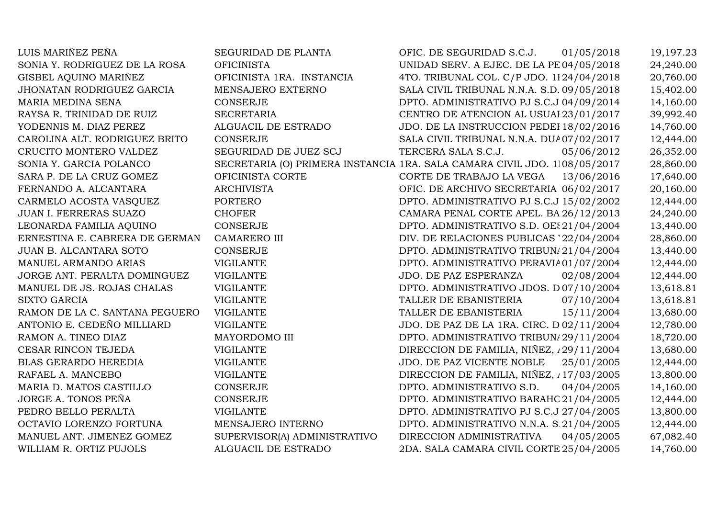YODENNIS M. DIAZ PEREZ ALGUACIL DE ESTRADOCARMELO ACOSTA VASQUEZ PORTEROOCTAVIO LORENZO FORTUNA<br>MANUEL ANT. JIMENEZ GOMEZ WILLIAM R. ORTIZ PUJOLS

LUIS MARIÑEZ PEÑA SEGURIDAD DE PLANTA OFIC. DE SEGURIDAD S.C.J. 01/05/2018 19,197.23<br>SONIA Y. RODRIGUEZ DE LA ROSA OFICINISTA UNIDAD SERV. A EJEC. DE LA PE 04/05/2018 24.240.00 SONIA Y. RODRIGUEZ DE LA ROSA OFICINISTA UNIDAD SERV. A EJEC. DE LA PE04/05/2018 24,240.00<br>GENEL AQUINO MARIÑEZ OFICINISTA 1RA. INSTANCIA 4TO. TRIBUNAL COL. C/P JDO. 1124/04/2018 20.760.00 GISBEL AQUINO MARIÑEZ OFICINISTA 1RA. INSTANCIA 4TO. TRIBUNAL COL. C/P JDO. 1RA. INST. D.N. 24/04/2018 20,760.00 JHONATAN RODRIGUEZ GARCIA MENSAJERO EXTERNO SALA CIVIL TRIBUNAL N.N.A. S.D. 09/05/2018 15,402.00 MARIA MEDINA SENA CONSERJE DPTO. ADMINISTRATIVO PJ S.C.J.04/09/2014 14,160.00 RAYSA R. TRINIDAD DE RUIZ SECRETARIA CENTRO DE ATENCION AL USUARIO23/01/2017 39,992.40 JDO. DE LA INSTRUCCION PEDEI 18/02/2016 14,760.00<br>SALA CIVIL TRIBUNAL N.N.A. DUA07/02/2017 12,444.00 CAROLINA ALT. RODRIGUEZ BRITO CONSERJE SALA CIVIL TRIBUNAL N.N.A. DUA07/02/2017 12,444.00<br>CRUCITO MONTERO VALDEZ SEGURIDAD DE JUEZ SCJ TERCERA SALA S.C.J. 05/06/2012 26,352.00 CRUCITO MONTERO VALDEZ SEGURIDAD DE JUEZ SCJ TERCERA SALA S.C.J. 05/06/2012 26,352.00<br>CONULUS ALDEU DOLLUCO DE SEGURIDAD DE JUEZ SCJ TERLICULARI SULLAU SULLA SEGURI DE SULCULARI DE SEGURIDAD DE S SONIA Y. GARCIA POLANCO SECRETARIA (O) PRIMERA INSTANCIA 1RA. SALA CAMARA CIVIL JDO. 1RA. INST. SANTIAGO 08/05/2017 28,860.00 SARA P. DE LA CRUZ GOMEZ OFICINISTA CORTE CORTE DE TRABAJO LA VEGA 13/06/2016 17,640.00 FERNANDO A. ALCANTARA ARCHIVISTA OFIC. DE ARCHIVO SECRETARIA GENERAL S.C.J. 06/02/2017 20,160.00 DPTO. ADMINISTRATIVO PJ S.C.J 15/02/2002 12,444.00<br>CAMARA PENAL CORTE APEL. BA 26/12/2013 24.240.00 JUAN I. FERRERAS SUAZO CHOFER CAMARA PENAL CORTE APEL. BARAHONA 26/12/2013 24,240.00 LEONARDA FAMILIA AQUINO CONSERJE DPTO. ADMINISTRATIVO S.D. OESTE21/04/2004 13,440.00 ERNESTINA E. CABRERA DE GERMAN CAMARERO III DIV. DE RELACIONES PUBLICAS '22/04/2004 28,860.00<br>DIV. DE RELACIONES PUBLICAS '22/04/2004 28,860.00 JUAN B. ALCANTARA SOTO CONSERJE DPTO. ADMINISTRATIVO TRIBUNALES FAMILIA 21/04/2004 13,440.00 MANUEL ARMANDO ARIAS VIGILANTE DPTO. ADMINISTRATIVO PERAVIA01/07/2004 12,444.00 JORGE ANT. PERALTA DOMINGUEZ VIGILANTE JORGE PAZ ESPERANZA 02/08/2004 12,444.00<br>MANUEL DE JS. ROJAS CHALAS VIGILANTE DETO. ADMINISTRATIVO JDOS. D07/10/2004 13.618.81 MANUEL DE JS. ROJAS CHALAS VIGILANTE DPTO. ADMINISTRATIVO JDOS. DE TRANS. D.N. 07/10/2004 13,618.81 SIXTO GARCIA VIGILANTE TALLER DE EBANISTERIA 07/10/2004 13,618.81 RAMON DE LA C. SANTANA PEGUERO VIGILANTE TALLER DE EBANISTERIA 15/11/2004 13,680.00<br>ANTONIO E. CEDEÑO MILLIARD VIGILANTE JOO. DE PAZ DE LA 1RA. CIRC. D02/11/2004 12.780.00 ANTONIO E. CEDEÑO MILLIARD VIGILANTE VIGILANTE JDO. DE PAZ DE LA 1RA. CIRC. D $02/11/2004$  12,780.00 RAMON A. TINEO DIAZ MAYORDOMO III DPTO. ADMINISTRATIVO TRIBUN/29/11/2004 18.720.00 RAMON A. TINEO DIAZ MAYORDOMO III DPTO. ADMINISTRATIVO TRIBUN/29/11/2004 18,720.00<br>CESAR RINCON TEJEDA VIGILANTE DIRECCION DE FAMILIA, NIÑEZ, 129/11/2004 13,680.00 CESAR RINCON TEJEDA VIGILANTE DIRECCION DE FAMILIA, NIÑEZ, 129/11/2004 13,680.00<br>DIRECCION DE FAMILIA, NIÑEZ, 129/11/2004 13,680.00 BLAS GERARDO HEREDIA VIGILANTE JDO. DE PAZ VICENTE NOBLE 25/01/2005 12,444.00 RAFAEL A. MANCEBO VIGILANTE DIRECCION DE FAMILIA, NIÑEZ, ADOLESCENCIA Y GENERO 17/03/2005 13,800.00 MARIA D. MATOS CASTILLO CONSERJE DPTO. ADMINISTRATIVO S.D. 04/04/2005 14,160.00 JORGE A. TONOS PEÑA CONSERJE DPTO. ADMINISTRATIVO BARAHONA21/04/2005 12,444.00 PEDRO BELLO PERALTA VIGILANTE DPTO. ADMINISTRATIVO PJ S.C.J.27/04/2005 13,800.00 DPTO. ADMINISTRATIVO N.N.A. S.21/04/2005 12,444.00<br>DIRECCION ADMINISTRATIVA 04/05/2005 67.082.40 SUPERVISOR(A) ADMINISTRATIVO DIRECCION ADMINISTRATIVA 04/05/2005 67,082.40<br>ALGUACIL DE ESTRADO 2DA. SALA CAMARA CIVIL CORTE 25/04/2005 14.760.00 2DA. SALA CAMARA CIVIL CORTE 25/04/2005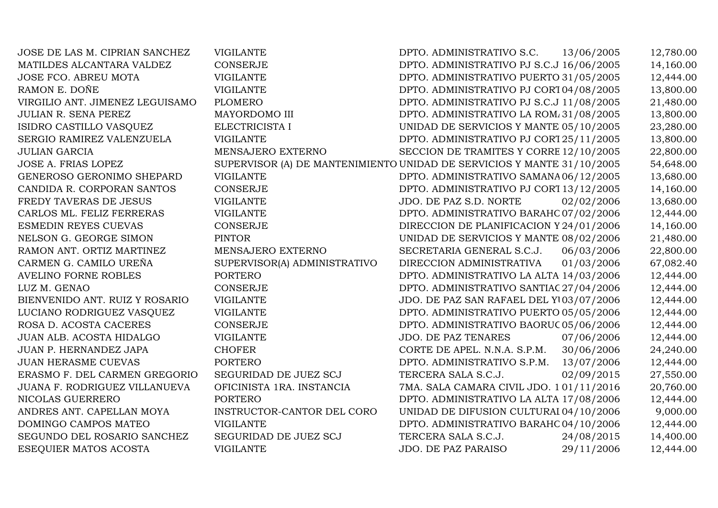JOSE DE LAS M. CIPRIAN SANCHEZ VIGILANTE DPTO. ADMINISTRATIVO S.C. 13/06/2005 12,780.00<br>MATILDES ALCANTARA VALDEZ CONSERJE DPTO. ADMINISTRATIVO PJ S.C.J 16/06/2005 14.160.00 MATILDES ALCANTARA VALDEZ CONSERJE CONSERUE DPTO. ADMINISTRATIVO PJ S.C.J 16/06/2005 14,160.00<br>DPTO. ADMINISTRATIVO PUERTO 31/05/2005 12,444.00 JOSE FCO. ABREU MOTA VIGILANTE DPTO. ADMINISTRATIVO PUERTO PLATA 31/05/2005 12,444.00 RAMON E. DOÑE VIGILANTE DPTO. ADMINISTRATIVO PJ CORTE DE APELACION D.N. 04/08/2005 13,800.00 VIRGILIO ANT. JIMENEZ LEGUISAMO PLOMERO<br>JULIAN R. SENA PEREZ MAYORDOMO III DPTO. ADMINISTRATIVO PJ S.C.J 11/08/2005 21,480.00<br>DPTO. ADMINISTRATIVO LA ROM/31/08/2005 13,800.00 JULIAN R. SENA PEREZ MAYORDOMO III DPTO. ADMINISTRATIVO LA ROMANA 31/08/2005 13,800.00 ISIDRO CASTILLO VASQUEZ ELECTRICISTA I UNIDAD DE SERVICIOS Y MANTENIMIENTO 05/10/2005 23,280.00 SERGIO RAMIREZ VALENZUELA VIGILANTE DPTO. ADMINISTRATIVO PJ CORTE DE APELACION D.N. 25/11/2005 13,800.00 JULIAN GARCIA MENSAJERO EXTERNOSECCION DE TRAMITES Y CORRE 12/10/2005 22,800.00<br>UNIDAD DE SERVICIOS Y MANTE 31/10/2005 54,648.00 JOSE A. FRIAS LOPEZ SUPERVISOR (A) DE MANTENIMIENTO UNIDAD DE SERVICIOS Y MANTENIMIENTO 31/10/2005 54,648.00 GENEROSO GERONIMO SHEPARD VIGILANTE DPTO. ADMINISTRATIVO SAMANA06/12/2005 13,680.00 CANDIDA R. CORPORAN SANTOS CONSERJE DPTO. ADMINISTRATIVO PJ CORTE DE APELACION D.N. 13/12/2005 14,160.00 FREDY TAVERAS DE JESUS VIGILANTE VIGLANTE JDO. DE PAZ S.D. NORTE 02/02/2006 13,680.00<br>CARLOS ML. FELIZ FERRERAS VIGILANTE DPTO. ADMINISTRATIVO BARAHC 07/02/2006 12.444.00 CARLOS ML. FELIZ FERRERAS VIGILANTE DPTO. ADMINISTRATIVO BARAHONA07/02/2006 12,444.00 ESMEDIN REYES CUEVAS CONSERJE CONSERUE DIRECCION DE PLANIFICACION Y 24/01/2006 14,160.00<br>DIRECCION DE PLANIFICACION Y 24/01/2006 21,480.00 NELSON G. GEORGE SIMON PINTOR PINTOR UNIDAD DE SERVICIOS Y MANTE 08/02/2006 21,480.00<br>DAMON ANTE ORING ALEXANDER DE L'ENGLISE DI TRES ENTRENO DE SERVICIOS Y MANTE 08/02/2006 21,480.00 RAMON ANT. ORTIZ MARTINEZ MENSAJERO EXTERNO SECRETARIA GENERAL S.C.J. 06/03/2006 22,800.00<br>CARMEN G. CAMILO UREÑA SUPERVISORIA) ADMINISTRATIVO DIRECCION ADMINISTRATIVA 01/03/2006 67.082.40 SUPERVISOR(A) ADMINISTRATIVO DIRECCION ADMINISTRATIVA 01/03/2006 67,082.40<br>DPTO. ADMINISTRATIVO LA ALTA 14/03/2006 12,444.00 AVELINO FORNE ROBLES PORTERODPTO. ADMINISTRATIVO LA ALTA $14/03/2006$  12,444.00 DPTO. ADMINISTRATIVO SANTIAC 27/04/2006 12,444.00 LUZ M. GENAO CONSERJE DPTO. ADMINISTRATIVO SANTIAGO27/04/2006 12,444.00 BIENVENIDO ANT. RUIZ Y ROSARIO VIGILANTE JDO. DE PAZ SAN RAFAEL DEL YUMA 03/07/2006 12,444.00 LUCIANO RODRIGUEZ VASQUEZ VIGILANTE DPTO. ADMINISTRATIVO PUERTO PLATA 05/05/2006 12,444.00 ROSA D. ACOSTA CACERES CONSERJE DPTO. ADMINISTRATIVO BAORUCO05/06/2006 12,444.00 JUAN ALB. ACOSTA HIDALGO VIGILANTE JDO. DE PAZ TENARES 07/06/2006 12,444.00 JUAN P. HERNANDEZ JAPA CHOFER CORTE DE APEL. N.N.A. S.P.M. 30/06/2006 24,240.00 JUAN HERASME CUEVAS PORTERO DPTO. ADMINISTRATIVO S.P.M. 13/07/2006 12,444.00 ERASMO F. DEL CARMEN GREGORIO SEGURIDAD DE JUEZ SCJ TERCERA SALA S.C.J.  $02/09/2015$  27,550.00<br>JUANA F. RODRIGUEZ VILLANUEVA OFICINISTA 1RA. INSTANCIA 7MA. SALA CAMARA CIVIL JDO. 101/11/2016 20.760.00 JUAN FRA FRA ARA FRANCIA CIVIL JE PORTERO PORTERO 191/11/2016 PORTERO 12,444.00 NICOLAS GUERRERO<br>ANDRES ANT. CAPELLAN MOYA DPTO. ADMINISTRATIVO LA ALTA $17/08/2006$  12,444.00 UNIDAD DE DIFUSION CULTURAI 04/10/2006 9,000.00 ANDRES ANT. CAPELLAN MOYA INSTRUCTOR-CANTOR DEL CORO DOMINGO CAMPOS MATEO VIGILANTE UNIDAD DE DIFUSION CULTURAI 04/10/2006 9,000.00<br>DPTO. ADMINISTRATIVO BARAHC 04/10/2006 12,444.00 DOMINGO CAMPOS MATEO VIGILANTE DPTO. ADMINISTRATIVO BARAHONA04/10/2006 12,444.00 SEGUNDO DEL ROSARIO SANCHEZ SEGURIDAD DE JUEZ SCJ TERCERA SALA S.C.J. 24/08/2015 14,400.00<br>ESEQUIER MATOS ACOSTA VIGILANTE JUEZ SCJ JDO. DE PAZ PARAISO 29/11/2006 12,444.00 ESEQUIER MATOS ACOSTA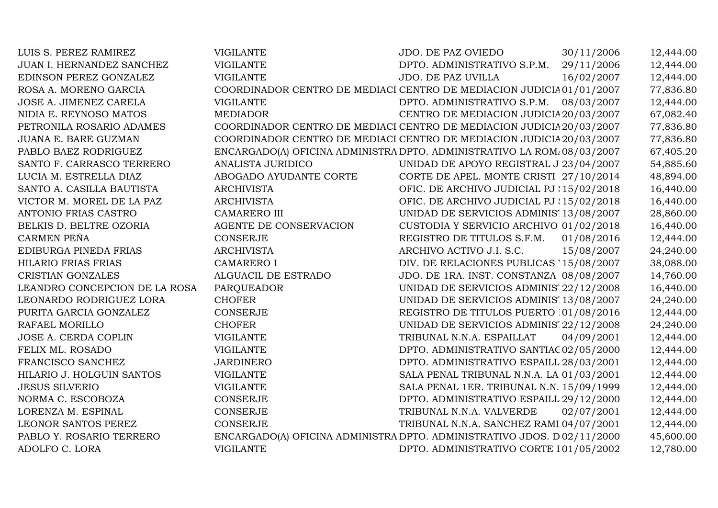| LUIS S. PEREZ RAMIREZ         | <b>VIGILANTE</b>                                                        | <b>JDO. DE PAZ OVIEDO</b>                 | 30/11/2006 | 12,444.00 |
|-------------------------------|-------------------------------------------------------------------------|-------------------------------------------|------------|-----------|
| JUAN I. HERNANDEZ SANCHEZ     | <b>VIGILANTE</b>                                                        | DPTO. ADMINISTRATIVO S.P.M.               | 29/11/2006 | 12,444.00 |
| EDINSON PEREZ GONZALEZ        | <b>VIGILANTE</b>                                                        | JDO. DE PAZ UVILLA                        | 16/02/2007 | 12,444.00 |
| ROSA A. MORENO GARCIA         | COORDINADOR CENTRO DE MEDIACI CENTRO DE MEDIACION JUDICIA01/01/2007     |                                           |            | 77,836.80 |
| JOSE A. JIMENEZ CARELA        | <b>VIGILANTE</b>                                                        | DPTO. ADMINISTRATIVO S.P.M.               | 08/03/2007 | 12,444.00 |
| NIDIA E. REYNOSO MATOS        | <b>MEDIADOR</b>                                                         | CENTRO DE MEDIACION JUDICIA 20/03/2007    |            | 67,082.40 |
| PETRONILA ROSARIO ADAMES      | COORDINADOR CENTRO DE MEDIACI CENTRO DE MEDIACION JUDICIA 20/03/2007    |                                           |            | 77,836.80 |
| JUANA E. BARE GUZMAN          | COORDINADOR CENTRO DE MEDIACI CENTRO DE MEDIACION JUDICIA 20/03/2007    |                                           |            | 77,836.80 |
| PABLO BAEZ RODRIGUEZ          | ENCARGADO(A) OFICINA ADMINISTRA DPTO. ADMINISTRATIVO LA ROM/08/03/2007  |                                           |            | 67,405.20 |
| SANTO F. CARRASCO TERRERO     | <b>ANALISTA JURIDICO</b>                                                | UNIDAD DE APOYO REGISTRAL J 23/04/2007    |            | 54,885.60 |
| LUCIA M. ESTRELLA DIAZ        | ABOGADO AYUDANTE CORTE                                                  | CORTE DE APEL. MONTE CRISTI 27/10/2014    |            | 48,894.00 |
| SANTO A. CASILLA BAUTISTA     | <b>ARCHIVISTA</b>                                                       | OFIC. DE ARCHIVO JUDICIAL PJ : 15/02/2018 |            | 16,440.00 |
| VICTOR M. MOREL DE LA PAZ     | <b>ARCHIVISTA</b>                                                       | OFIC. DE ARCHIVO JUDICIAL PJ : 15/02/2018 |            | 16,440.00 |
| ANTONIO FRIAS CASTRO          | <b>CAMARERO III</b>                                                     | UNIDAD DE SERVICIOS ADMINIS' 13/08/2007   |            | 28,860.00 |
| BELKIS D. BELTRE OZORIA       | AGENTE DE CONSERVACION                                                  | CUSTODIA Y SERVICIO ARCHIVO 01/02/2018    |            | 16,440.00 |
| CARMEN PEÑA                   | <b>CONSERJE</b>                                                         | REGISTRO DE TITULOS S.F.M.                | 01/08/2016 | 12,444.00 |
| EDIBURGA PINEDA FRIAS         | <b>ARCHIVISTA</b>                                                       | ARCHIVO ACTIVO J.I. S.C.                  | 15/08/2007 | 24,240.00 |
| <b>HILARIO FRIAS FRIAS</b>    | <b>CAMARERO I</b>                                                       | DIV. DE RELACIONES PUBLICAS '15/08/2007   |            | 38,088.00 |
| CRISTIAN GONZALES             | ALGUACIL DE ESTRADO                                                     | JDO. DE 1RA. INST. CONSTANZA 08/08/2007   |            | 14,760.00 |
| LEANDRO CONCEPCION DE LA ROSA | PARQUEADOR                                                              | UNIDAD DE SERVICIOS ADMINIS' 22/12/2008   |            | 16,440.00 |
| LEONARDO RODRIGUEZ LORA       | <b>CHOFER</b>                                                           | UNIDAD DE SERVICIOS ADMINIS' 13/08/2007   |            | 24,240.00 |
| PURITA GARCIA GONZALEZ        | <b>CONSERJE</b>                                                         | REGISTRO DE TITULOS PUERTO 101/08/2016    |            | 12,444.00 |
| RAFAEL MORILLO                | <b>CHOFER</b>                                                           | UNIDAD DE SERVICIOS ADMINIS' 22/12/2008   |            | 24,240.00 |
| JOSE A. CERDA COPLIN          | <b>VIGILANTE</b>                                                        | TRIBUNAL N.N.A. ESPAILLAT                 | 04/09/2001 | 12,444.00 |
| FELIX ML. ROSADO              | <b>VIGILANTE</b>                                                        | DPTO. ADMINISTRATIVO SANTIAC 02/05/2000   |            | 12,444.00 |
| FRANCISCO SANCHEZ             | <b>JARDINERO</b>                                                        | DPTO. ADMINISTRATIVO ESPAILL 28/03/2001   |            | 12,444.00 |
| HILARIO J. HOLGUIN SANTOS     | <b>VIGILANTE</b>                                                        | SALA PENAL TRIBUNAL N.N.A. LA 01/03/2001  |            | 12,444.00 |
| <b>JESUS SILVERIO</b>         | <b>VIGILANTE</b>                                                        | SALA PENAL 1ER. TRIBUNAL N.N. 15/09/1999  |            | 12,444.00 |
| NORMA C. ESCOBOZA             | <b>CONSERJE</b>                                                         | DPTO. ADMINISTRATIVO ESPAILL 29/12/2000   |            | 12,444.00 |
| LORENZA M. ESPINAL            | <b>CONSERJE</b>                                                         | TRIBUNAL N.N.A. VALVERDE                  | 02/07/2001 | 12,444.00 |
| LEONOR SANTOS PEREZ           | <b>CONSERJE</b>                                                         | TRIBUNAL N.N.A. SANCHEZ RAMI 04/07/2001   |            | 12,444.00 |
| PABLO Y. ROSARIO TERRERO      | ENCARGADO(A) OFICINA ADMINISTRA DPTO. ADMINISTRATIVO JDOS. D 02/11/2000 |                                           |            | 45,600.00 |
| ADOLFO C. LORA                | <b>VIGILANTE</b>                                                        | DPTO. ADMINISTRATIVO CORTE 101/05/2002    |            | 12,780.00 |
|                               |                                                                         |                                           |            |           |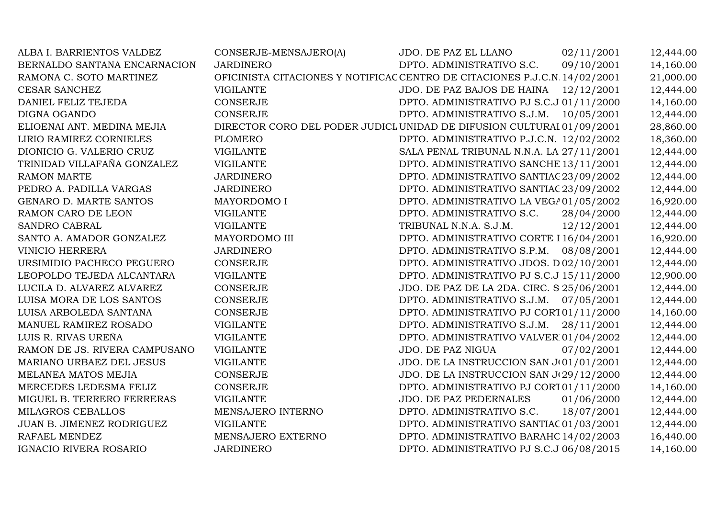| ALBA I. BARRIENTOS VALDEZ     | CONSERJE-MENSAJERO(A)                                                      | JDO. DE PAZ EL LLANO                      | 02/11/2001 | 12,444.00 |
|-------------------------------|----------------------------------------------------------------------------|-------------------------------------------|------------|-----------|
| BERNALDO SANTANA ENCARNACION  | <b>JARDINERO</b>                                                           | DPTO. ADMINISTRATIVO S.C.                 | 09/10/2001 | 14,160.00 |
| RAMONA C. SOTO MARTINEZ       | OFICINISTA CITACIONES Y NOTIFICAC CENTRO DE CITACIONES P.J.C.N. 14/02/2001 |                                           |            | 21,000.00 |
| CESAR SANCHEZ                 | <b>VIGILANTE</b>                                                           | JDO. DE PAZ BAJOS DE HAINA 12/12/2001     |            | 12,444.00 |
| DANIEL FELIZ TEJEDA           | <b>CONSERJE</b>                                                            | DPTO. ADMINISTRATIVO PJ S.C.J 01/11/2000  |            | 14,160.00 |
| DIGNA OGANDO                  | <b>CONSERJE</b>                                                            | DPTO. ADMINISTRATIVO S.J.M.               | 10/05/2001 | 12,444.00 |
| ELIOENAI ANT. MEDINA MEJIA    | DIRECTOR CORO DEL PODER JUDICI UNIDAD DE DIFUSION CULTURAI 01/09/2001      |                                           |            | 28,860.00 |
| LIRIO RAMIREZ CORNIELES       | <b>PLOMERO</b>                                                             | DPTO. ADMINISTRATIVO P.J.C.N. 12/02/2002  |            | 18,360.00 |
| DIONICIO G. VALERIO CRUZ      | <b>VIGILANTE</b>                                                           | SALA PENAL TRIBUNAL N.N.A. LA 27/11/2001  |            | 12,444.00 |
| TRINIDAD VILLAFAÑA GONZALEZ   | <b>VIGILANTE</b>                                                           | DPTO. ADMINISTRATIVO SANCHE 13/11/2001    |            | 12,444.00 |
| <b>RAMON MARTE</b>            | <b>JARDINERO</b>                                                           | DPTO. ADMINISTRATIVO SANTIAC 23/09/2002   |            | 12,444.00 |
| PEDRO A. PADILLA VARGAS       | <b>JARDINERO</b>                                                           | DPTO. ADMINISTRATIVO SANTIAC 23/09/2002   |            | 12,444.00 |
| GENARO D. MARTE SANTOS        | MAYORDOMO I                                                                | DPTO. ADMINISTRATIVO LA VEGA01/05/2002    |            | 16,920.00 |
| RAMON CARO DE LEON            | <b>VIGILANTE</b>                                                           | DPTO. ADMINISTRATIVO S.C.                 | 28/04/2000 | 12,444.00 |
| SANDRO CABRAL                 | <b>VIGILANTE</b>                                                           | TRIBUNAL N.N.A. S.J.M.                    | 12/12/2001 | 12,444.00 |
| SANTO A. AMADOR GONZALEZ      | MAYORDOMO III                                                              | DPTO. ADMINISTRATIVO CORTE I 16/04/2001   |            | 16,920.00 |
| <b>VINICIO HERRERA</b>        | <b>JARDINERO</b>                                                           | DPTO. ADMINISTRATIVO S.P.M.               | 08/08/2001 | 12,444.00 |
| URSIMIDIO PACHECO PEGUERO     | <b>CONSERJE</b>                                                            | DPTO. ADMINISTRATIVO JDOS. D02/10/2001    |            | 12,444.00 |
| LEOPOLDO TEJEDA ALCANTARA     | <b>VIGILANTE</b>                                                           | DPTO. ADMINISTRATIVO PJ S.C.J 15/11/2000  |            | 12,900.00 |
| LUCILA D. ALVAREZ ALVAREZ     | <b>CONSERJE</b>                                                            | JDO. DE PAZ DE LA 2DA. CIRC. S 25/06/2001 |            | 12,444.00 |
| LUISA MORA DE LOS SANTOS      | <b>CONSERJE</b>                                                            | DPTO. ADMINISTRATIVO S.J.M.               | 07/05/2001 | 12,444.00 |
| LUISA ARBOLEDA SANTANA        | <b>CONSERJE</b>                                                            | DPTO. ADMINISTRATIVO PJ CORT01/11/2000    |            | 14,160.00 |
| MANUEL RAMIREZ ROSADO         | <b>VIGILANTE</b>                                                           | DPTO. ADMINISTRATIVO S.J.M.               | 28/11/2001 | 12,444.00 |
| LUIS R. RIVAS UREÑA           | <b>VIGILANTE</b>                                                           | DPTO. ADMINISTRATIVO VALVER101/04/2002    |            | 12,444.00 |
| RAMON DE JS. RIVERA CAMPUSANO | <b>VIGILANTE</b>                                                           | JDO. DE PAZ NIGUA                         | 07/02/2001 | 12,444.00 |
| MARIANO URBAEZ DEL JESUS      | <b>VIGILANTE</b>                                                           | JDO. DE LA INSTRUCCION SAN J(01/01/2001   |            | 12,444.00 |
| MELANEA MATOS MEJIA           | <b>CONSERJE</b>                                                            | JDO. DE LA INSTRUCCION SAN J(29/12/2000   |            | 12,444.00 |
| MERCEDES LEDESMA FELIZ        | <b>CONSERJE</b>                                                            | DPTO. ADMINISTRATIVO PJ CORT01/11/2000    |            | 14,160.00 |
| MIGUEL B. TERRERO FERRERAS    | <b>VIGILANTE</b>                                                           | JDO. DE PAZ PEDERNALES                    | 01/06/2000 | 12,444.00 |
| MILAGROS CEBALLOS             | MENSAJERO INTERNO                                                          | DPTO. ADMINISTRATIVO S.C.                 | 18/07/2001 | 12,444.00 |
| JUAN B. JIMENEZ RODRIGUEZ     | <b>VIGILANTE</b>                                                           | DPTO. ADMINISTRATIVO SANTIAC 01/03/2001   |            | 12,444.00 |
| RAFAEL MENDEZ                 | MENSAJERO EXTERNO                                                          | DPTO. ADMINISTRATIVO BARAHC 14/02/2003    |            | 16,440.00 |
| IGNACIO RIVERA ROSARIO        | <b>JARDINERO</b>                                                           | DPTO. ADMINISTRATIVO PJ S.C.J 06/08/2015  |            | 14,160.00 |
|                               |                                                                            |                                           |            |           |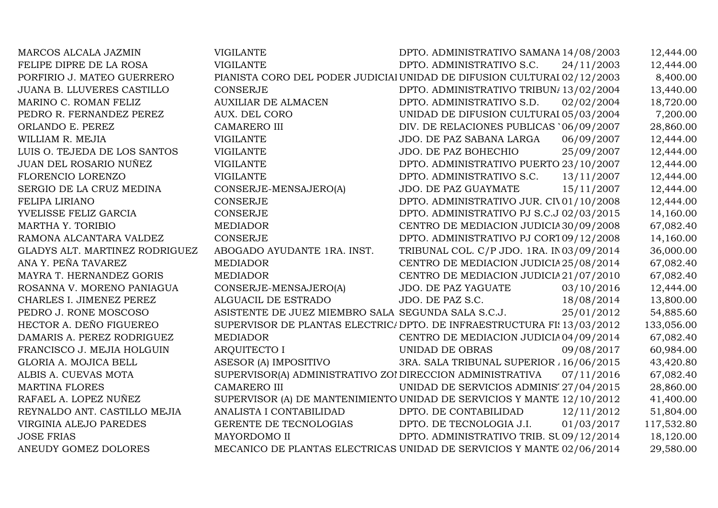| MARCOS ALCALA JAZMIN              | <b>VIGILANTE</b>                                                        | DPTO. ADMINISTRATIVO SAMANA 14/08/2003   |            | 12,444.00  |
|-----------------------------------|-------------------------------------------------------------------------|------------------------------------------|------------|------------|
| FELIPE DIPRE DE LA ROSA           | <b>VIGILANTE</b>                                                        | DPTO. ADMINISTRATIVO S.C.                | 24/11/2003 | 12,444.00  |
| PORFIRIO J. MATEO GUERRERO        | PIANISTA CORO DEL PODER JUDICIAI UNIDAD DE DIFUSION CULTURAI 02/12/2003 |                                          |            | 8,400.00   |
| <b>JUANA B. LLUVERES CASTILLO</b> | <b>CONSERJE</b>                                                         | DPTO. ADMINISTRATIVO TRIBUN/13/02/2004   |            | 13,440.00  |
| MARINO C. ROMAN FELIZ             | <b>AUXILIAR DE ALMACEN</b>                                              | DPTO. ADMINISTRATIVO S.D.                | 02/02/2004 | 18,720.00  |
| PEDRO R. FERNANDEZ PEREZ          | AUX. DEL CORO                                                           | UNIDAD DE DIFUSION CULTURAI 05/03/2004   |            | 7,200.00   |
| ORLANDO E. PEREZ                  | <b>CAMARERO III</b>                                                     | DIV. DE RELACIONES PUBLICAS '06/09/2007  |            | 28,860.00  |
| WILLIAM R. MEJIA                  | <b>VIGILANTE</b>                                                        | JDO. DE PAZ SABANA LARGA                 | 06/09/2007 | 12,444.00  |
| LUIS O. TEJEDA DE LOS SANTOS      | <b>VIGILANTE</b>                                                        | JDO. DE PAZ BOHECHIO                     | 25/09/2007 | 12,444.00  |
| JUAN DEL ROSARIO NUÑEZ            | <b>VIGILANTE</b>                                                        | DPTO. ADMINISTRATIVO PUERTO 23/10/2007   |            | 12,444.00  |
| FLORENCIO LORENZO                 | <b>VIGILANTE</b>                                                        | DPTO. ADMINISTRATIVO S.C.                | 13/11/2007 | 12,444.00  |
| SERGIO DE LA CRUZ MEDINA          | CONSERJE-MENSAJERO(A)                                                   | JDO. DE PAZ GUAYMATE                     | 15/11/2007 | 12,444.00  |
| FELIPA LIRIANO                    | <b>CONSERJE</b>                                                         | DPTO. ADMINISTRATIVO JUR. CIV01/10/2008  |            | 12,444.00  |
| YVELISSE FELIZ GARCIA             | <b>CONSERJE</b>                                                         | DPTO. ADMINISTRATIVO PJ S.C.J 02/03/2015 |            | 14,160.00  |
| MARTHA Y. TORIBIO                 | <b>MEDIADOR</b>                                                         | CENTRO DE MEDIACION JUDICIA 30/09/2008   |            | 67,082.40  |
| RAMONA ALCANTARA VALDEZ           | <b>CONSERJE</b>                                                         | DPTO. ADMINISTRATIVO PJ CORT09/12/2008   |            | 14,160.00  |
| GLADYS ALT. MARTINEZ RODRIGUEZ    | ABOGADO AYUDANTE 1RA. INST.                                             | TRIBUNAL COL. C/P JDO. 1RA. IN03/09/2014 |            | 36,000.00  |
| ANA Y. PEÑA TAVAREZ               | <b>MEDIADOR</b>                                                         | CENTRO DE MEDIACION JUDICIA 25/08/2014   |            | 67,082.40  |
| MAYRA T. HERNANDEZ GORIS          | <b>MEDIADOR</b>                                                         | CENTRO DE MEDIACION JUDICIA 21/07/2010   |            | 67,082.40  |
| ROSANNA V. MORENO PANIAGUA        | CONSERJE-MENSAJERO(A)                                                   | JDO. DE PAZ YAGUATE                      | 03/10/2016 | 12,444.00  |
| CHARLES I. JIMENEZ PEREZ          | ALGUACIL DE ESTRADO                                                     | JDO. DE PAZ S.C.                         | 18/08/2014 | 13,800.00  |
| PEDRO J. RONE MOSCOSO             | ASISTENTE DE JUEZ MIEMBRO SALA SEGUNDA SALA S.C.J.                      |                                          | 25/01/2012 | 54,885.60  |
| HECTOR A. DEÑO FIGUEREO           | SUPERVISOR DE PLANTAS ELECTRIC/ DPTO. DE INFRAESTRUCTURA FI: 13/03/2012 |                                          |            | 133,056.00 |
| DAMARIS A. PEREZ RODRIGUEZ        | <b>MEDIADOR</b>                                                         | CENTRO DE MEDIACION JUDICIA04/09/2014    |            | 67,082.40  |
| FRANCISCO J. MEJIA HOLGUIN        | <b>ARQUITECTO I</b>                                                     | UNIDAD DE OBRAS                          | 09/08/2017 | 60,984.00  |
| GLORIA A. MOJICA BELL             | ASESOR (A) IMPOSITIVO                                                   | 3RA. SALA TRIBUNAL SUPERIOR / 16/06/2015 |            | 43,420.80  |
| ALBIS A. CUEVAS MOTA              | SUPERVISOR(A) ADMINISTRATIVO ZOI DIRECCION ADMINISTRATIVA               |                                          | 07/11/2016 | 67,082.40  |
| <b>MARTINA FLORES</b>             | <b>CAMARERO III</b>                                                     | UNIDAD DE SERVICIOS ADMINIS' 27/04/2015  |            | 28,860.00  |
| RAFAEL A. LOPEZ NUÑEZ             | SUPERVISOR (A) DE MANTENIMIENTO UNIDAD DE SERVICIOS Y MANTE 12/10/2012  |                                          |            | 41,400.00  |
| REYNALDO ANT. CASTILLO MEJIA      | ANALISTA I CONTABILIDAD                                                 | DPTO. DE CONTABILIDAD                    | 12/11/2012 | 51,804.00  |
| VIRGINIA ALEJO PAREDES            | GERENTE DE TECNOLOGIAS                                                  | DPTO. DE TECNOLOGIA J.I.                 | 01/03/2017 | 117,532.80 |
| <b>JOSE FRIAS</b>                 | MAYORDOMO II                                                            | DPTO. ADMINISTRATIVO TRIB. SU 09/12/2014 |            | 18,120.00  |
| ANEUDY GOMEZ DOLORES              | MECANICO DE PLANTAS ELECTRICAS UNIDAD DE SERVICIOS Y MANTE 02/06/2014   |                                          |            | 29,580.00  |
|                                   |                                                                         |                                          |            |            |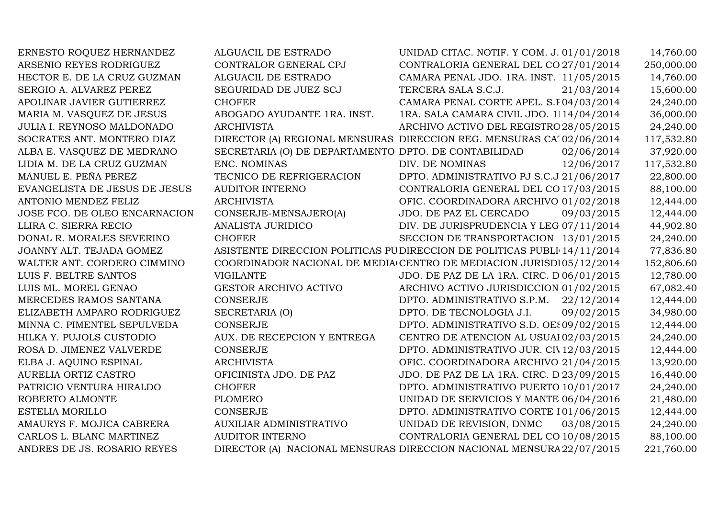ERNESTO ROQUEZ HERNANDEZ ALGUACIL DE ESTRADO ARSENIO REYES RODRIGUEZ CONTRALOR GENERAL CPJ UNIDAD CITAC. NOTIF. Y COM. J. 01/01/2018 14,760.00<br>CONTRALORIA GENERAL DEL CO 27/01/2014 250.000.00 CONTRALOR GENERAL CPJ CONTRALORIA GENERAL DEL CO 27/01/2014 250,000.00<br>ALGUACIL DE ESTRADO CAMARA PENAL JDO. 1RA. INST. 11/05/2015 14.760.00 HECTOR E. DE LA CRUZ GUZMAN SERGIO A. ALVAREZ PEREZ CAMARA PENAL JDO. 1RA. INST. 11/05/2015 14,760.00<br>COLLEGE TRESPORTATIVE CLUBS 201/05/2014 15:500.00 SERGIO A. ALVAREZ PEREZ SEGURIDAD DE JUEZ SCJ TERCERA SALA S.C.J. 21/03/2014 15,600.00<br>APOLINAR JAVIER GUTIERREZ CHOFER CHOFER CAMARA PENAL CORTE APEL. S.F04/03/2014 24,240.00 APOLINAR JAVIER GUTIERREZ CHOFER CHOFER CAMARA PENAL CORTE APEL. S.F04/03/2014 24,240.00<br>MARIA M. VASQUEZ DE JESUS ABOGADO AYUDANTE 1RA. INST. 1RA. SALA CAMARA CIVIL JDO. 1114/04/2014 36,000.00 MARIA M. VASQUEZ DE JESUS ABOGADO AYUDANTE 1RA. INST. 1RA. SALA CAMARA CIVIL JDO. 1114/04/2014 36,000.00<br>JULIA I. REYNOSO MALDONADO ARCHIVISTA ARCHIVO ACTIVO DEL REGISTRO 28/05/2015 24.240.00 JULIA I. REYNOSO MALDONADO ARCHIVISTA ARCHIVO ACTIVO DEL REGISTRO DE TITULOS D.N. 28/05/2015 24,240.00 SOCRATES ANT. MONTERO DIAZ DIRECTOR (A) REGIONAL MENSURAS DIRECCION REG. MENSURAS CAT. 02/06/2014 117,532.80<br>ALBA E. VASOUEZ DE MEDRANO SECRETARIA (O) DE DEPARTAMENTO DPTO. DE CONTABILIDAD 02/06/2014 37,920.00 SECRETARIA (O) DE DEPARTAMENTO DPTO. DE CONTABILIDAD 02/06/2014 37,920.00 ENC. NOMINAS DIV. DE NOMINAS 12/06/2017 117,532.80 LIDIA M. DE LA CRUZ GUZMAN ENC. NOMINAS DIV. DE NOMINAS 12/06/2017 117,532.80<br>MANUEL E. PEÑA PEREZ TECNICO DE REFRIGERACION DPTO. ADMINISTRATIVO PJ S.C.J 21/06/2017 22.800.00 TECNICO DE REFRIGERACION DPTO. ADMINISTRATIVO PJ S.C.J 21/06/2017 22,800.00<br>CONTRALORIA GENERAL DEL CO 17/03/2015 88.100.00 EVANGELISTA DE JESUS DE JESUS AUDITOR INT<br>ANTONIO MENDEZ FELIZ ARCHIVISTA CONTRALORIA GENERAL DEL CO 17/03/2015 88,100.00<br>OFIC. COORDINADORA ARCHIVO 01/02/2018 12.444.00 ANTONIO MENDEZ FELIZ ARCHIVISTA OFIC. COORDINADORA ARCHIVO JUDICIAL 01/02/2018 12,444.00 JOSE FCO. DE OLEO ENCARNACION CONSERJE-MENSAJERO(A) JDO. DE PAZ EL CERCADO 09/03/2015 12,444.00<br>LLIRA C. SIERRA RECIO ANALISTA JURIDICO DIV. DE JURISPRUDENCIA Y LEG 07/11/2014 44.902.80  $\begin{array}{ll}\n\text{LLIRA C. SIERRA RECIO} & \text{ANALISTA} \\
\text{DOMAL R. MORALES SEVERINO} & \text{CHOFFR}\n\end{array}$ DIV. DE JURISPRUDENCIA Y LEG 07/11/2014 44,902.80<br>SECCION DE TRANSPORTACION 13/01/2015 24.240.00 SECCION DE TRANSPORTACION 13/01/2015 24,240.00<br>DIRECCION DE POLITICAS PUBLI 14/11/2014 77,836.80 JOANNY ALT. TEJADA GOMEZ ASISTENTE DIRECCION POLITICAS PUBLICAS DIRECCION DE POLITICAS PUBLICAS 14/11/2014 77,836.80 WALTER ANT. CORDERO CIMMINOCOORDINADOR NACIONAL DE MEDIA CENTRO DE MEDIACION JURISDI05/12/2014 152,806.60<br>JDO. DE PAZ DE LA 1RA. CIRC. D 06/01/2015 12.780.00 LUIS F. BELTRE SANTOS VIGILANTE VIGLANTE JDO. DE PAZ DE LA 1RA. CIRC. D06/01/2015 12,780.00<br>LUIS ML. MOREL GENAO GESTOR ARCHIVO ACTIVO ARCHIVO ACTIVO JURISDICCION 01/02/2015 67.082.40 LUIS ML. MOREL GENAO GESTOR ARCHIVO ACTIVO MERCEDES RAMOS SANTANA CONSERJE ARCHIVO ACTIVO JURISDICCION 01/02/2015 67,082.40<br>DPTO. ADMINISTRATIVO S.P.M. 22/12/2014 12.444.00 MERCEDES RAMOS SANTANA CONSERJE DPTO. ADMINISTRATIVO S.P.M. 22/12/2014 12,444.00 ELIZABETH AMPARO RODRIGUEZ SECRETARIA (O) DPTO. DE TECNOLOGIA J.I. 09/02/2015 34,980.00<br>MINNA C. PIMENTEL SEPULVEDA CONSERJE DPTO. ADMINISTRATIVO S.D. OES 09/02/2015 12,444.00 MINNA C. PIMENTEL SEPULVEDA CONSERJE DPTO. ADMINISTRATIVO S.D. OES 09/02/2015 12,444.00<br>HILKA Y. PUJOLS CUSTODIO AUX. DE RECEPCION Y ENTREGA CENTRO DE ATENCION AL USUAI 02/03/2015 24.240.00 HILKA Y. PUJOLS CUSTODIO AUX. DE RECEPCION Y ENTREGA CENTRO DE ATENCION AL USUARIO02/03/2015 24,240.00 ROSA D. JIMENEZ VALVERDE CONSERJE CONSERJE DPTO. ADMINISTRATIVO JUR. CIV 12/03/2015 12,444.00<br>ELBA J. AOUINO ESPINAL ARCHIVISTA ARCHIVISTA OFIC. COORDINADORA ARCHIVO 21/04/2015 13.920.00 ELBA J. AQUINO ESPINAL ARCHIVISTA OFIC. COORDINADORA ARCHIVO JUDICIAL 21/04/2015 13,920.00 AURELIA ORTIZ CASTRO OFICINISTA JDO. DE PAZ JDO. DE PAZ DE LA 1RA. CIRC. D.N. 23/09/2015 16,440.00 CHOFER DPTO. ADMINISTRATIVO PUERTO 10/01/2017 24,240.00<br>DPTO. ADMINISTRATIVO PUERTO 10/01/2017 24,240.00 ROBERTO ALMONTE PLOMERO0 UNIDAD DE SERVICIOS Y MANTE 06/04/2016 21,480.00 ESTELIA MORILLO CONSERJE DPTO. ADMINISTRATIVO CORTE DE TRABAJO D.N. 01/06/2015 12,444.00 AMAURYS F. MOJICA CABRERA AUXILIAR ADMINISTRATIVO UNIDAD DE REVISION, DNMC 03/08/2015 24,240.00 CARLOS L. BLANC MARTINEZ CONTRALORIA GENERAL DEL CO 10/08/2015 88,100.00<br>DIRECCION NACIONAL MENSURA 22/07/2015 221.760.00 ANDRES DE JS. ROSARIO REYESDIRECTOR (A) NACIONAL MENSURAS DIRECCION NACIONAL MENSURA 22/07/2015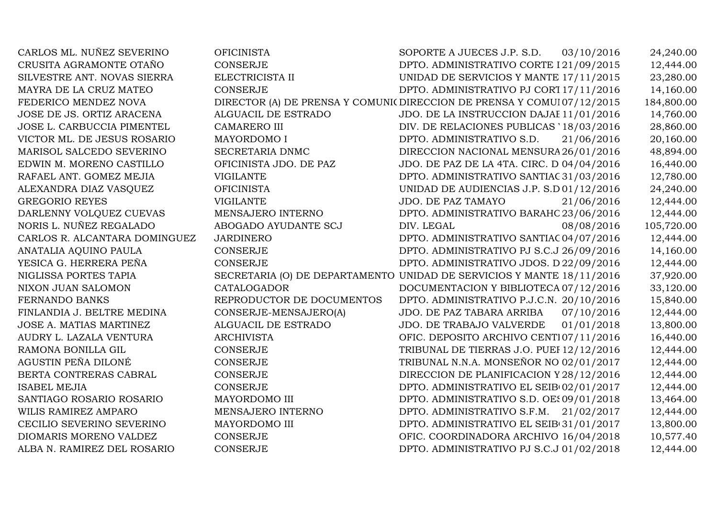| CARLOS ML. NUÑEZ SEVERINO     | <b>OFICINISTA</b>         | SOPORTE A JUECES J.P. S.D.<br>03/10/2016                                | 24,240.00  |
|-------------------------------|---------------------------|-------------------------------------------------------------------------|------------|
| CRUSITA AGRAMONTE OTAÑO       | <b>CONSERJE</b>           | DPTO. ADMINISTRATIVO CORTE I 21/09/2015                                 | 12,444.00  |
| SILVESTRE ANT. NOVAS SIERRA   | ELECTRICISTA II           | UNIDAD DE SERVICIOS Y MANTE 17/11/2015                                  | 23,280.00  |
| MAYRA DE LA CRUZ MATEO        | <b>CONSERJE</b>           | DPTO. ADMINISTRATIVO PJ CORT 17/11/2016                                 | 14,160.00  |
| FEDERICO MENDEZ NOVA          |                           | DIRECTOR (A) DE PRENSA Y COMUNIC DIRECCION DE PRENSA Y COMUI 07/12/2015 | 184,800.00 |
| JOSE DE JS. ORTIZ ARACENA     | ALGUACIL DE ESTRADO       | JDO. DE LA INSTRUCCION DAJAE 11/01/2016                                 | 14,760.00  |
| JOSE L. CARBUCCIA PIMENTEL    | <b>CAMARERO III</b>       | DIV. DE RELACIONES PUBLICAS '18/03/2016                                 | 28,860.00  |
| VICTOR ML. DE JESUS ROSARIO   | MAYORDOMO I               | DPTO. ADMINISTRATIVO S.D.<br>21/06/2016                                 | 20,160.00  |
| MARISOL SALCEDO SEVERINO      | SECRETARIA DNMC           | DIRECCION NACIONAL MENSURA 26/01/2016                                   | 48,894.00  |
| EDWIN M. MORENO CASTILLO      | OFICINISTA JDO. DE PAZ    | JDO. DE PAZ DE LA 4TA. CIRC. D.04/04/2016                               | 16,440.00  |
| RAFAEL ANT. GOMEZ MEJIA       | <b>VIGILANTE</b>          | DPTO. ADMINISTRATIVO SANTIAC 31/03/2016                                 | 12,780.00  |
| ALEXANDRA DIAZ VASQUEZ        | <b>OFICINISTA</b>         | UNIDAD DE AUDIENCIAS J.P. S.D 01/12/2016                                | 24,240.00  |
| <b>GREGORIO REYES</b>         | <b>VIGILANTE</b>          | JDO. DE PAZ TAMAYO<br>21/06/2016                                        | 12,444.00  |
| DARLENNY VOLQUEZ CUEVAS       | MENSAJERO INTERNO         | DPTO. ADMINISTRATIVO BARAHO 23/06/2016                                  | 12,444.00  |
| NORIS L. NUÑEZ REGALADO       | ABOGADO AYUDANTE SCJ      | DIV. LEGAL<br>08/08/2016                                                | 105,720.00 |
| CARLOS R. ALCANTARA DOMINGUEZ | <b>JARDINERO</b>          | DPTO. ADMINISTRATIVO SANTIAC 04/07/2016                                 | 12,444.00  |
| ANATALIA AQUINO PAULA         | <b>CONSERJE</b>           | DPTO. ADMINISTRATIVO PJ S.C.J 26/09/2016                                | 14,160.00  |
| YESICA G. HERRERA PEÑA        | <b>CONSERJE</b>           | DPTO. ADMINISTRATIVO JDOS. D22/09/2016                                  | 12,444.00  |
| NIGLISSA PORTES TAPIA         |                           | SECRETARIA (O) DE DEPARTAMENTO UNIDAD DE SERVICIOS Y MANTE 18/11/2016   | 37,920.00  |
| NIXON JUAN SALOMON            | CATALOGADOR               | DOCUMENTACION Y BIBLIOTECA 07/12/2016                                   | 33,120.00  |
| FERNANDO BANKS                | REPRODUCTOR DE DOCUMENTOS | DPTO. ADMINISTRATIVO P.J.C.N. 20/10/2016                                | 15,840.00  |
| FINLANDIA J. BELTRE MEDINA    | CONSERJE-MENSAJERO(A)     | JDO. DE PAZ TABARA ARRIBA<br>07/10/2016                                 | 12,444.00  |
| JOSE A. MATIAS MARTINEZ       | ALGUACIL DE ESTRADO       | 01/01/2018<br>JDO. DE TRABAJO VALVERDE                                  | 13,800.00  |
| AUDRY L. LAZALA VENTURA       | <b>ARCHIVISTA</b>         | OFIC. DEPOSITO ARCHIVO CENTI07/11/2016                                  | 16,440.00  |
| RAMONA BONILLA GIL            | <b>CONSERJE</b>           | TRIBUNAL DE TIERRAS J.O. PUEI 12/12/2016                                | 12,444.00  |
| AGUSTIN PEÑA DILONÉ           | <b>CONSERJE</b>           | TRIBUNAL N.N.A. MONSEÑOR NO 02/01/2017                                  | 12,444.00  |
| BERTA CONTRERAS CABRAL        | <b>CONSERJE</b>           | DIRECCION DE PLANIFICACION Y 28/12/2016                                 | 12,444.00  |
| <b>ISABEL MEJIA</b>           | <b>CONSERJE</b>           | DPTO. ADMINISTRATIVO EL SEIB(02/01/2017                                 | 12,444.00  |
| SANTIAGO ROSARIO ROSARIO      | MAYORDOMO III             | DPTO. ADMINISTRATIVO S.D. OES09/01/2018                                 | 13,464.00  |
| WILIS RAMIREZ AMPARO          | MENSAJERO INTERNO         | DPTO. ADMINISTRATIVO S.F.M. 21/02/2017                                  | 12,444.00  |
| CECILIO SEVERINO SEVERINO     | MAYORDOMO III             | DPTO. ADMINISTRATIVO EL SEIB(31/01/2017                                 | 13,800.00  |
| DIOMARIS MORENO VALDEZ        | <b>CONSERJE</b>           | OFIC. COORDINADORA ARCHIVO 16/04/2018                                   | 10,577.40  |
| ALBA N. RAMIREZ DEL ROSARIO   | <b>CONSERJE</b>           | DPTO. ADMINISTRATIVO PJ S.C.J 01/02/2018                                | 12,444.00  |
|                               |                           |                                                                         |            |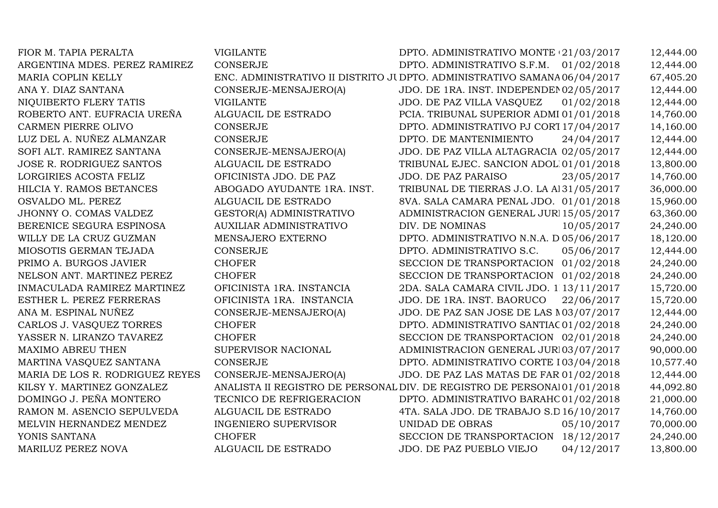| FIOR M. TAPIA PERALTA           | <b>VIGILANTE</b>                                                          | DPTO. ADMINISTRATIVO MONTE (21/03/2017   |            | 12,444.00 |
|---------------------------------|---------------------------------------------------------------------------|------------------------------------------|------------|-----------|
| ARGENTINA MDES. PEREZ RAMIREZ   | <b>CONSERJE</b>                                                           | DPTO. ADMINISTRATIVO S.F.M.              | 01/02/2018 | 12,444.00 |
| MARIA COPLIN KELLY              | ENC. ADMINISTRATIVO II DISTRITO JI DPTO. ADMINISTRATIVO SAMANA 06/04/2017 |                                          |            | 67,405.20 |
| ANA Y. DIAZ SANTANA             | CONSERJE-MENSAJERO(A)                                                     | JDO. DE 1RA. INST. INDEPENDEN02/05/2017  |            | 12,444.00 |
| NIQUIBERTO FLERY TATIS          | <b>VIGILANTE</b>                                                          | JDO. DE PAZ VILLA VASQUEZ                | 01/02/2018 | 12,444.00 |
| ROBERTO ANT. EUFRACIA UREÑA     | ALGUACIL DE ESTRADO                                                       | PCIA. TRIBUNAL SUPERIOR ADMI 01/01/2018  |            | 14,760.00 |
| CARMEN PIERRE OLIVO             | <b>CONSERJE</b>                                                           | DPTO. ADMINISTRATIVO PJ CORT 17/04/2017  |            | 14,160.00 |
| LUZ DEL A. NUÑEZ ALMANZAR       | <b>CONSERJE</b>                                                           | DPTO. DE MANTENIMIENTO                   | 24/04/2017 | 12,444.00 |
| SOFI ALT. RAMIREZ SANTANA       | CONSERJE-MENSAJERO(A)                                                     | JDO. DE PAZ VILLA ALTAGRACIA 02/05/2017  |            | 12,444.00 |
| JOSE R. RODRIGUEZ SANTOS        | ALGUACIL DE ESTRADO                                                       | TRIBUNAL EJEC. SANCION ADOL101/01/2018   |            | 13,800.00 |
| LORGIRIES ACOSTA FELIZ          | OFICINISTA JDO. DE PAZ                                                    | <b>JDO. DE PAZ PARAISO</b>               | 23/05/2017 | 14,760.00 |
| HILCIA Y. RAMOS BETANCES        | ABOGADO AYUDANTE 1RA. INST.                                               | TRIBUNAL DE TIERRAS J.O. LA Al31/05/2017 |            | 36,000.00 |
| OSVALDO ML. PEREZ               | ALGUACIL DE ESTRADO                                                       | 8VA. SALA CAMARA PENAL JDO. 01/01/2018   |            | 15,960.00 |
| JHONNY O. COMAS VALDEZ          | GESTOR(A) ADMINISTRATIVO                                                  | ADMINISTRACION GENERAL JURI 15/05/2017   |            | 63,360.00 |
| BERENICE SEGURA ESPINOSA        | <b>AUXILIAR ADMINISTRATIVO</b>                                            | DIV. DE NOMINAS                          | 10/05/2017 | 24,240.00 |
| WILLY DE LA CRUZ GUZMAN         | MENSAJERO EXTERNO                                                         | DPTO. ADMINISTRATIVO N.N.A. D 05/06/2017 |            | 18,120.00 |
| MIOSOTIS GERMAN TEJADA          | <b>CONSERJE</b>                                                           | DPTO. ADMINISTRATIVO S.C.                | 05/06/2017 | 12,444.00 |
| PRIMO A. BURGOS JAVIER          | <b>CHOFER</b>                                                             | SECCION DE TRANSPORTACION 01/02/2018     |            | 24,240.00 |
| NELSON ANT. MARTINEZ PEREZ      | <b>CHOFER</b>                                                             | SECCION DE TRANSPORTACION 01/02/2018     |            | 24,240.00 |
| INMACULADA RAMIREZ MARTINEZ     | OFICINISTA 1RA. INSTANCIA                                                 | 2DA. SALA CAMARA CIVIL JDO. 1 13/11/2017 |            | 15,720.00 |
| ESTHER L. PEREZ FERRERAS        | OFICINISTA 1RA. INSTANCIA                                                 | JDO. DE 1RA. INST. BAORUCO               | 22/06/2017 | 15,720.00 |
| ANA M. ESPINAL NUÑEZ            | CONSERJE-MENSAJERO(A)                                                     | JDO. DE PAZ SAN JOSE DE LAS N03/07/2017  |            | 12,444.00 |
| CARLOS J. VASQUEZ TORRES        | <b>CHOFER</b>                                                             | DPTO. ADMINISTRATIVO SANTIAC 01/02/2018  |            | 24,240.00 |
| YASSER N. LIRANZO TAVAREZ       | <b>CHOFER</b>                                                             | SECCION DE TRANSPORTACION 02/01/2018     |            | 24,240.00 |
| MAXIMO ABREU THEN               | SUPERVISOR NACIONAL                                                       | ADMINISTRACION GENERAL JURI03/07/2017    |            | 90,000.00 |
| MARTINA VASQUEZ SANTANA         | <b>CONSERJE</b>                                                           | DPTO. ADMINISTRATIVO CORTE I03/04/2018   |            | 10,577.40 |
| MARIA DE LOS R. RODRIGUEZ REYES | CONSERJE-MENSAJERO(A)                                                     | JDO. DE PAZ LAS MATAS DE FAR 01/02/2018  |            | 12,444.00 |
| KILSY Y. MARTINEZ GONZALEZ      | ANALISTA II REGISTRO DE PERSONAL DIV. DE REGISTRO DE PERSONAI01/01/2018   |                                          |            | 44,092.80 |
| DOMINGO J. PEÑA MONTERO         | TECNICO DE REFRIGERACION                                                  | DPTO. ADMINISTRATIVO BARAHO01/02/2018    |            | 21,000.00 |
| RAMON M. ASENCIO SEPULVEDA      | ALGUACIL DE ESTRADO                                                       | 4TA. SALA JDO. DE TRABAJO S.D 16/10/2017 |            | 14,760.00 |
| MELVIN HERNANDEZ MENDEZ         | <b>INGENIERO SUPERVISOR</b>                                               | UNIDAD DE OBRAS                          | 05/10/2017 | 70,000.00 |
| YONIS SANTANA                   | <b>CHOFER</b>                                                             | SECCION DE TRANSPORTACION                | 18/12/2017 | 24,240.00 |
| MARILUZ PEREZ NOVA              | ALGUACIL DE ESTRADO                                                       | JDO. DE PAZ PUEBLO VIEJO                 | 04/12/2017 | 13,800.00 |
|                                 |                                                                           |                                          |            |           |